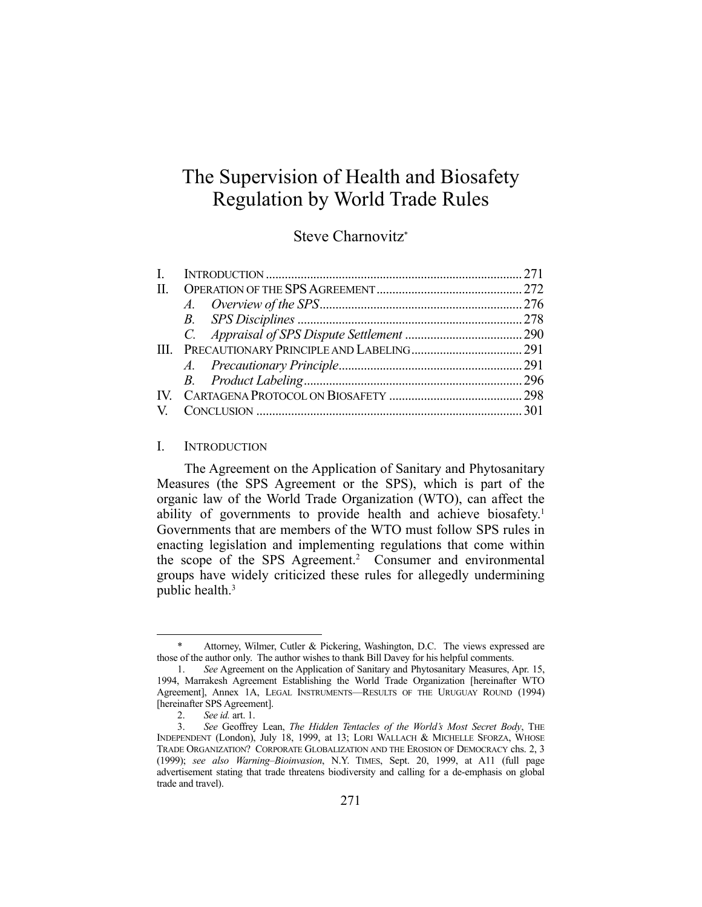# The Supervision of Health and Biosafety Regulation by World Trade Rules

## Steve Charnovitz\*

| L. |  |
|----|--|
|    |  |
|    |  |
|    |  |
|    |  |
|    |  |
|    |  |
|    |  |
|    |  |
|    |  |
|    |  |

#### I. INTRODUCTION

 The Agreement on the Application of Sanitary and Phytosanitary Measures (the SPS Agreement or the SPS), which is part of the organic law of the World Trade Organization (WTO), can affect the ability of governments to provide health and achieve biosafety.<sup>1</sup> Governments that are members of the WTO must follow SPS rules in enacting legislation and implementing regulations that come within the scope of the SPS Agreement.<sup>2</sup> Consumer and environmental groups have widely criticized these rules for allegedly undermining public health.3

 <sup>\*</sup> Attorney, Wilmer, Cutler & Pickering, Washington, D.C. The views expressed are those of the author only. The author wishes to thank Bill Davey for his helpful comments.

 <sup>1.</sup> *See* Agreement on the Application of Sanitary and Phytosanitary Measures, Apr. 15, 1994, Marrakesh Agreement Establishing the World Trade Organization [hereinafter WTO Agreement], Annex 1A, LEGAL INSTRUMENTS—RESULTS OF THE URUGUAY ROUND (1994) [hereinafter SPS Agreement].

 <sup>2.</sup> *See id.* art. 1.

 <sup>3.</sup> *See* Geoffrey Lean, *The Hidden Tentacles of the World's Most Secret Body*, THE INDEPENDENT (London), July 18, 1999, at 13; LORI WALLACH & MICHELLE SFORZA, WHOSE TRADE ORGANIZATION? CORPORATE GLOBALIZATION AND THE EROSION OF DEMOCRACY chs. 2, 3 (1999); *see also Warning–Bioinvasion*, N.Y. TIMES, Sept. 20, 1999, at A11 (full page advertisement stating that trade threatens biodiversity and calling for a de-emphasis on global trade and travel).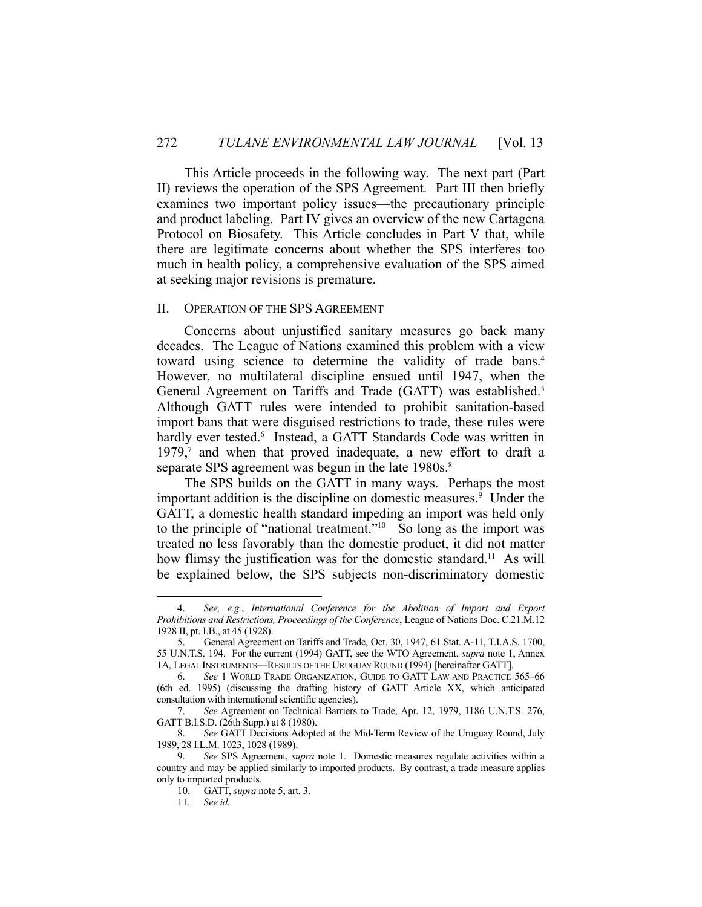This Article proceeds in the following way. The next part (Part II) reviews the operation of the SPS Agreement. Part III then briefly examines two important policy issues—the precautionary principle and product labeling. Part IV gives an overview of the new Cartagena Protocol on Biosafety. This Article concludes in Part V that, while there are legitimate concerns about whether the SPS interferes too much in health policy, a comprehensive evaluation of the SPS aimed at seeking major revisions is premature.

#### II. OPERATION OF THE SPS AGREEMENT

 Concerns about unjustified sanitary measures go back many decades. The League of Nations examined this problem with a view toward using science to determine the validity of trade bans.4 However, no multilateral discipline ensued until 1947, when the General Agreement on Tariffs and Trade (GATT) was established.<sup>5</sup> Although GATT rules were intended to prohibit sanitation-based import bans that were disguised restrictions to trade, these rules were hardly ever tested.<sup>6</sup> Instead, a GATT Standards Code was written in 1979,<sup>7</sup> and when that proved inadequate, a new effort to draft a separate SPS agreement was begun in the late 1980s.<sup>8</sup>

 The SPS builds on the GATT in many ways. Perhaps the most important addition is the discipline on domestic measures.<sup>9</sup> Under the GATT, a domestic health standard impeding an import was held only to the principle of "national treatment."10 So long as the import was treated no less favorably than the domestic product, it did not matter how flimsy the justification was for the domestic standard.<sup>11</sup> As will be explained below, the SPS subjects non-discriminatory domestic

 <sup>4.</sup> *See, e.g.*, *International Conference for the Abolition of Import and Export Prohibitions and Restrictions, Proceedings of the Conference*, League of Nations Doc. C.21.M.12 1928 II, pt. I.B., at 45 (1928).

 <sup>5.</sup> General Agreement on Tariffs and Trade, Oct. 30, 1947, 61 Stat. A-11, T.I.A.S. 1700, 55 U.N.T.S. 194. For the current (1994) GATT, see the WTO Agreement, *supra* note 1, Annex 1A, LEGAL INSTRUMENTS—RESULTS OF THE URUGUAY ROUND (1994) [hereinafter GATT].

 <sup>6.</sup> *See* 1 WORLD TRADE ORGANIZATION, GUIDE TO GATT LAW AND PRACTICE 565–66 (6th ed. 1995) (discussing the drafting history of GATT Article XX, which anticipated consultation with international scientific agencies).

 <sup>7.</sup> *See* Agreement on Technical Barriers to Trade, Apr. 12, 1979, 1186 U.N.T.S. 276, GATT B.I.S.D. (26th Supp.) at 8 (1980).

 <sup>8.</sup> *See* GATT Decisions Adopted at the Mid-Term Review of the Uruguay Round, July 1989, 28 I.L.M. 1023, 1028 (1989).

 <sup>9.</sup> *See* SPS Agreement, *supra* note 1. Domestic measures regulate activities within a country and may be applied similarly to imported products. By contrast, a trade measure applies only to imported products.

 <sup>10.</sup> GATT, *supra* note 5, art. 3.

 <sup>11.</sup> *See id.*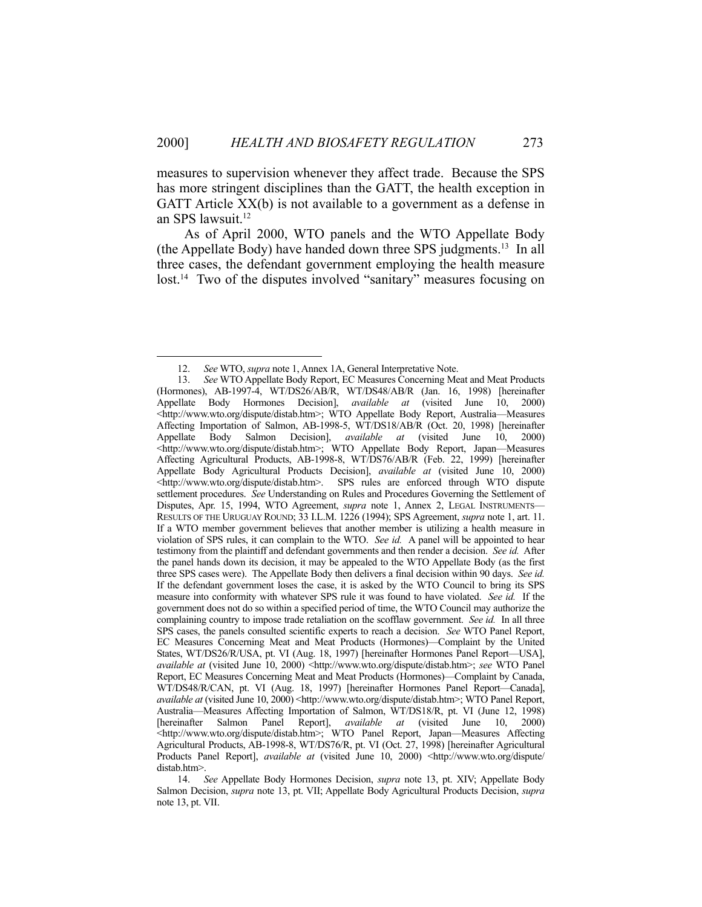measures to supervision whenever they affect trade. Because the SPS has more stringent disciplines than the GATT, the health exception in GATT Article XX(b) is not available to a government as a defense in an SPS lawsuit.<sup>12</sup>

 As of April 2000, WTO panels and the WTO Appellate Body (the Appellate Body) have handed down three SPS judgments.13 In all three cases, the defendant government employing the health measure lost.<sup>14</sup> Two of the disputes involved "sanitary" measures focusing on

 <sup>12.</sup> *See* WTO, *supra* note 1, Annex 1A, General Interpretative Note.

<sup>13.</sup> *See* WTO Appellate Body Report, EC Measures Concerning Meat and Meat Products (Hormones), AB-1997-4, WT/DS26/AB/R, WT/DS48/AB/R (Jan. 16, 1998) [hereinafter Appellate Body Hormones Decision], *available at* (visited June 10, 2000) <http://www.wto.org/dispute/distab.htm>; WTO Appellate Body Report, Australia—Measures Affecting Importation of Salmon, AB-1998-5, WT/DS18/AB/R (Oct. 20, 1998) [hereinafter Appellate Body Salmon Decision], *available at* (visited June 10, 2000) <http://www.wto.org/dispute/distab.htm>; WTO Appellate Body Report, Japan—Measures Affecting Agricultural Products, AB-1998-8, WT/DS76/AB/R (Feb. 22, 1999) [hereinafter Appellate Body Agricultural Products Decision], *available at* (visited June 10, 2000) <http://www.wto.org/dispute/distab.htm>. SPS rules are enforced through WTO dispute settlement procedures. *See* Understanding on Rules and Procedures Governing the Settlement of Disputes, Apr. 15, 1994, WTO Agreement, *supra* note 1, Annex 2, LEGAL INSTRUMENTS— RESULTS OF THE URUGUAY ROUND; 33 I.L.M. 1226 (1994); SPS Agreement, *supra* note 1, art. 11. If a WTO member government believes that another member is utilizing a health measure in violation of SPS rules, it can complain to the WTO. *See id.* A panel will be appointed to hear testimony from the plaintiff and defendant governments and then render a decision. *See id.* After the panel hands down its decision, it may be appealed to the WTO Appellate Body (as the first three SPS cases were). The Appellate Body then delivers a final decision within 90 days. *See id.* If the defendant government loses the case, it is asked by the WTO Council to bring its SPS measure into conformity with whatever SPS rule it was found to have violated. *See id.* If the government does not do so within a specified period of time, the WTO Council may authorize the complaining country to impose trade retaliation on the scofflaw government. *See id.* In all three SPS cases, the panels consulted scientific experts to reach a decision. *See* WTO Panel Report, EC Measures Concerning Meat and Meat Products (Hormones)—Complaint by the United States, WT/DS26/R/USA, pt. VI (Aug. 18, 1997) [hereinafter Hormones Panel Report—USA], *available at* (visited June 10, 2000) <http://www.wto.org/dispute/distab.htm>; *see* WTO Panel Report, EC Measures Concerning Meat and Meat Products (Hormones)—Complaint by Canada, WT/DS48/R/CAN, pt. VI (Aug. 18, 1997) [hereinafter Hormones Panel Report—Canada], *available at* (visited June 10, 2000) <http://www.wto.org/dispute/distab.htm>; WTO Panel Report, Australia—Measures Affecting Importation of Salmon, WT/DS18/R, pt. VI (June 12, 1998) [hereinafter Salmon Panel Report], *available at* (visited June 10, 2000) <http://www.wto.org/dispute/distab.htm>; WTO Panel Report, Japan—Measures Affecting Agricultural Products, AB-1998-8, WT/DS76/R, pt. VI (Oct. 27, 1998) [hereinafter Agricultural Products Panel Report], *available at* (visited June 10, 2000) <http://www.wto.org/dispute/ distab.htm>.

 <sup>14.</sup> *See* Appellate Body Hormones Decision, *supra* note 13, pt. XIV; Appellate Body Salmon Decision, *supra* note 13, pt. VII; Appellate Body Agricultural Products Decision, *supra* note 13, pt. VII.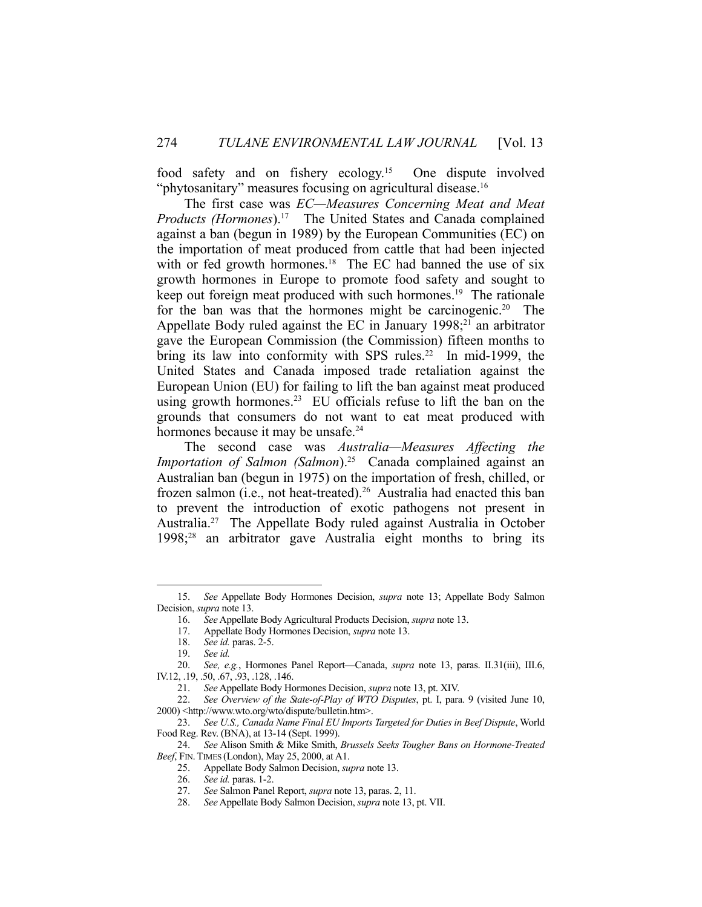food safety and on fishery ecology.15 One dispute involved "phytosanitary" measures focusing on agricultural disease.<sup>16</sup>

 The first case was *EC—Measures Concerning Meat and Meat Products (Hormones*).17 The United States and Canada complained against a ban (begun in 1989) by the European Communities (EC) on the importation of meat produced from cattle that had been injected with or fed growth hormones.<sup>18</sup> The EC had banned the use of six growth hormones in Europe to promote food safety and sought to keep out foreign meat produced with such hormones.<sup>19</sup> The rationale for the ban was that the hormones might be carcinogenic.<sup>20</sup> The Appellate Body ruled against the EC in January  $1998$ ;<sup>21</sup> an arbitrator gave the European Commission (the Commission) fifteen months to bring its law into conformity with SPS rules.<sup>22</sup> In mid-1999, the United States and Canada imposed trade retaliation against the European Union (EU) for failing to lift the ban against meat produced using growth hormones.<sup>23</sup> EU officials refuse to lift the ban on the grounds that consumers do not want to eat meat produced with hormones because it may be unsafe.<sup>24</sup>

 The second case was *Australia—Measures Affecting the Importation of Salmon (Salmon*).<sup>25</sup> Canada complained against an Australian ban (begun in 1975) on the importation of fresh, chilled, or frozen salmon (i.e., not heat-treated).<sup>26</sup> Australia had enacted this ban to prevent the introduction of exotic pathogens not present in Australia.27 The Appellate Body ruled against Australia in October 1998;28 an arbitrator gave Australia eight months to bring its

 <sup>15.</sup> *See* Appellate Body Hormones Decision, *supra* note 13; Appellate Body Salmon Decision, *supra* note 13.

 <sup>16.</sup> *See* Appellate Body Agricultural Products Decision, *supra* note 13.

 <sup>17.</sup> Appellate Body Hormones Decision, *supra* note 13.

 <sup>18.</sup> *See id.* paras. 2-5.

 <sup>19.</sup> *See id.*

 <sup>20.</sup> *See, e.g.*, Hormones Panel Report—Canada, *supra* note 13, paras. II.31(iii), III.6, IV.12, .19, .50, .67, .93, .128, .146.

 <sup>21.</sup> *See* Appellate Body Hormones Decision, *supra* note 13, pt. XIV.

 <sup>22.</sup> *See Overview of the State-of-Play of WTO Disputes*, pt. I, para. 9 (visited June 10, 2000) <http://www.wto.org/wto/dispute/bulletin.htm>.

 <sup>23.</sup> *See U.S., Canada Name Final EU Imports Targeted for Duties in Beef Dispute*, World Food Reg. Rev. (BNA), at 13-14 (Sept. 1999).

 <sup>24.</sup> *See* Alison Smith & Mike Smith, *Brussels Seeks Tougher Bans on Hormone-Treated Beef*, FIN.TIMES (London), May 25, 2000, at A1.

 <sup>25.</sup> Appellate Body Salmon Decision, *supra* note 13.

 <sup>26.</sup> *See id.* paras. 1-2.

 <sup>27.</sup> *See* Salmon Panel Report, *supra* note 13, paras. 2, 11.

 <sup>28.</sup> *See* Appellate Body Salmon Decision, *supra* note 13, pt. VII.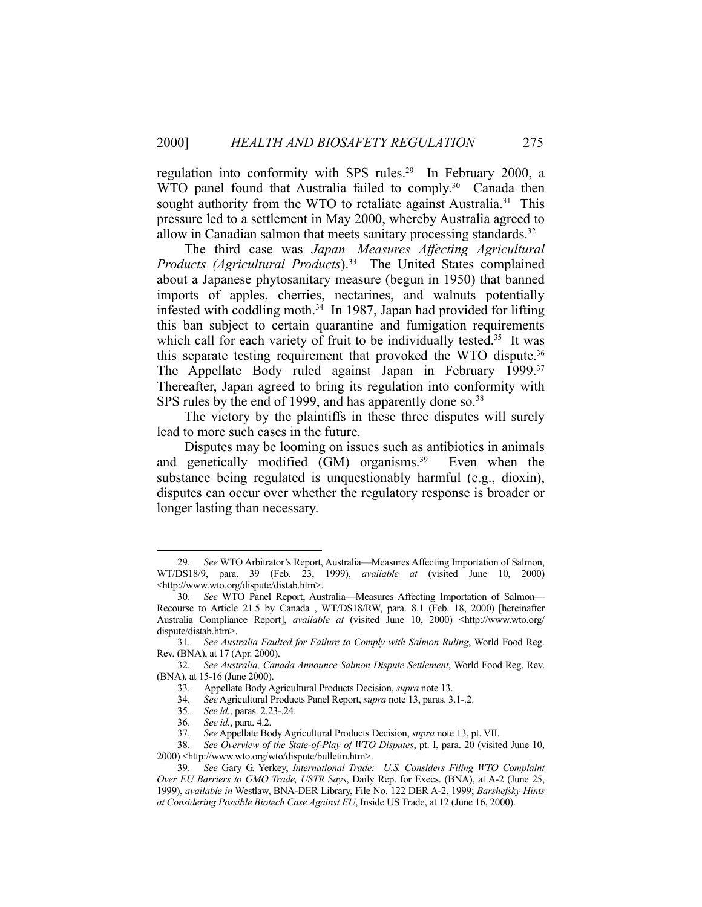regulation into conformity with SPS rules.<sup>29</sup> In February 2000, a WTO panel found that Australia failed to comply.<sup>30</sup> Canada then sought authority from the WTO to retaliate against Australia.<sup>31</sup> This pressure led to a settlement in May 2000, whereby Australia agreed to allow in Canadian salmon that meets sanitary processing standards.<sup>32</sup>

 The third case was *Japan—Measures Affecting Agricultural Products (Agricultural Products*).33 The United States complained about a Japanese phytosanitary measure (begun in 1950) that banned imports of apples, cherries, nectarines, and walnuts potentially infested with coddling moth. $34$  In 1987, Japan had provided for lifting this ban subject to certain quarantine and fumigation requirements which call for each variety of fruit to be individually tested.<sup>35</sup> It was this separate testing requirement that provoked the WTO dispute. 36 The Appellate Body ruled against Japan in February 1999.<sup>37</sup> Thereafter, Japan agreed to bring its regulation into conformity with SPS rules by the end of 1999, and has apparently done so.<sup>38</sup>

 The victory by the plaintiffs in these three disputes will surely lead to more such cases in the future.

 Disputes may be looming on issues such as antibiotics in animals and genetically modified (GM) organisms.<sup>39</sup> Even when the substance being regulated is unquestionably harmful (e.g., dioxin), disputes can occur over whether the regulatory response is broader or longer lasting than necessary.

 <sup>29.</sup> *See* WTO Arbitrator's Report, Australia—Measures Affecting Importation of Salmon, WT/DS18/9, para. 39 (Feb. 23, 1999), *available at* (visited June 10, 2000) <http://www.wto.org/dispute/distab.htm>.

 <sup>30.</sup> *See* WTO Panel Report, Australia—Measures Affecting Importation of Salmon— Recourse to Article 21.5 by Canada , WT/DS18/RW, para. 8.1 (Feb. 18, 2000) [hereinafter Australia Compliance Report], *available at* (visited June 10, 2000) <http://www.wto.org/ dispute/distab.htm>.

 <sup>31.</sup> *See Australia Faulted for Failure to Comply with Salmon Ruling*, World Food Reg. Rev. (BNA), at 17 (Apr. 2000).

 <sup>32.</sup> *See Australia, Canada Announce Salmon Dispute Settlement*, World Food Reg. Rev. (BNA), at 15-16 (June 2000).

 <sup>33.</sup> Appellate Body Agricultural Products Decision, *supra* note 13.

 <sup>34.</sup> *See* Agricultural Products Panel Report, *supra* note 13, paras. 3.1-.2.

 <sup>35.</sup> *See id.*, paras. 2.23-.24.

 <sup>36.</sup> *See id.*, para. 4.2.

 <sup>37.</sup> *See* Appellate Body Agricultural Products Decision, *supra* note 13, pt. VII.

 <sup>38.</sup> *See Overview of the State-of-Play of WTO Disputes*, pt. I, para. 20 (visited June 10, 2000) <http://www.wto.org/wto/dispute/bulletin.htm>.

 <sup>39.</sup> *See* Gary G. Yerkey, *International Trade: U.S. Considers Filing WTO Complaint Over EU Barriers to GMO Trade, USTR Says*, Daily Rep. for Execs. (BNA), at A-2 (June 25, 1999), *available in* Westlaw, BNA-DER Library, File No. 122 DER A-2, 1999; *Barshefsky Hints at Considering Possible Biotech Case Against EU*, Inside US Trade, at 12 (June 16, 2000).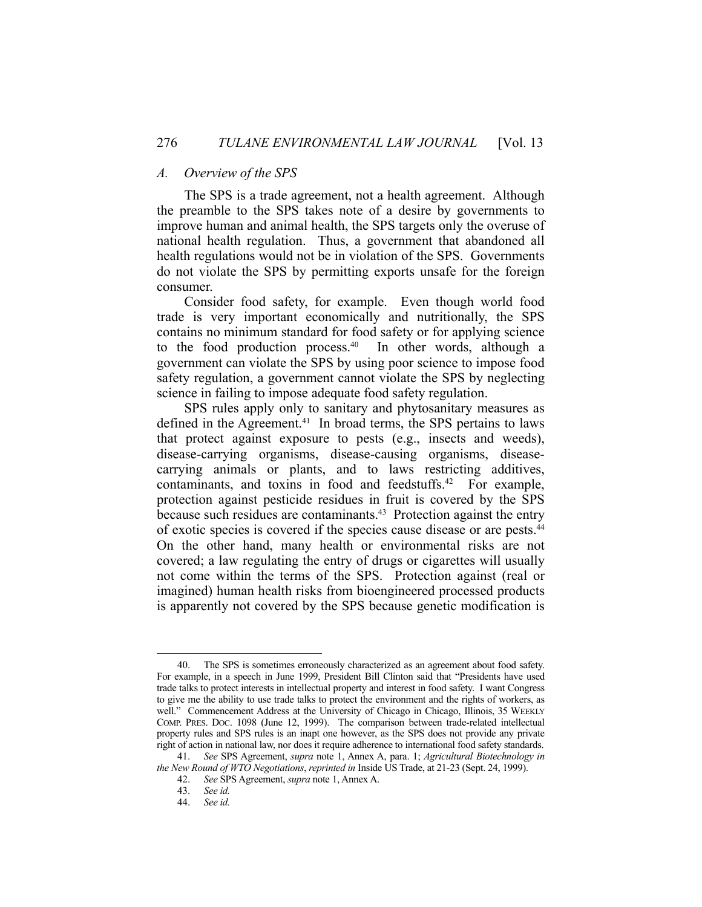#### *A. Overview of the SPS*

 The SPS is a trade agreement, not a health agreement. Although the preamble to the SPS takes note of a desire by governments to improve human and animal health, the SPS targets only the overuse of national health regulation. Thus, a government that abandoned all health regulations would not be in violation of the SPS. Governments do not violate the SPS by permitting exports unsafe for the foreign consumer.

 Consider food safety, for example. Even though world food trade is very important economically and nutritionally, the SPS contains no minimum standard for food safety or for applying science to the food production process. $40$  In other words, although a government can violate the SPS by using poor science to impose food safety regulation, a government cannot violate the SPS by neglecting science in failing to impose adequate food safety regulation.

 SPS rules apply only to sanitary and phytosanitary measures as defined in the Agreement.<sup>41</sup> In broad terms, the SPS pertains to laws that protect against exposure to pests (e.g., insects and weeds), disease-carrying organisms, disease-causing organisms, diseasecarrying animals or plants, and to laws restricting additives, contaminants, and toxins in food and feedstuffs.<sup>42</sup> For example, protection against pesticide residues in fruit is covered by the SPS because such residues are contaminants.<sup>43</sup> Protection against the entry of exotic species is covered if the species cause disease or are pests.44 On the other hand, many health or environmental risks are not covered; a law regulating the entry of drugs or cigarettes will usually not come within the terms of the SPS. Protection against (real or imagined) human health risks from bioengineered processed products is apparently not covered by the SPS because genetic modification is

 <sup>40.</sup> The SPS is sometimes erroneously characterized as an agreement about food safety. For example, in a speech in June 1999, President Bill Clinton said that "Presidents have used trade talks to protect interests in intellectual property and interest in food safety. I want Congress to give me the ability to use trade talks to protect the environment and the rights of workers, as well." Commencement Address at the University of Chicago in Chicago, Illinois, 35 WEEKLY COMP. PRES. DOC. 1098 (June 12, 1999). The comparison between trade-related intellectual property rules and SPS rules is an inapt one however, as the SPS does not provide any private right of action in national law, nor does it require adherence to international food safety standards.

 <sup>41.</sup> *See* SPS Agreement, *supra* note 1, Annex A, para. 1; *Agricultural Biotechnology in the New Round of WTO Negotiations*, *reprinted in* Inside US Trade, at 21-23 (Sept. 24, 1999).

 <sup>42.</sup> *See* SPS Agreement, *supra* note 1, Annex A.

 <sup>43.</sup> *See id.*

 <sup>44.</sup> *See id.*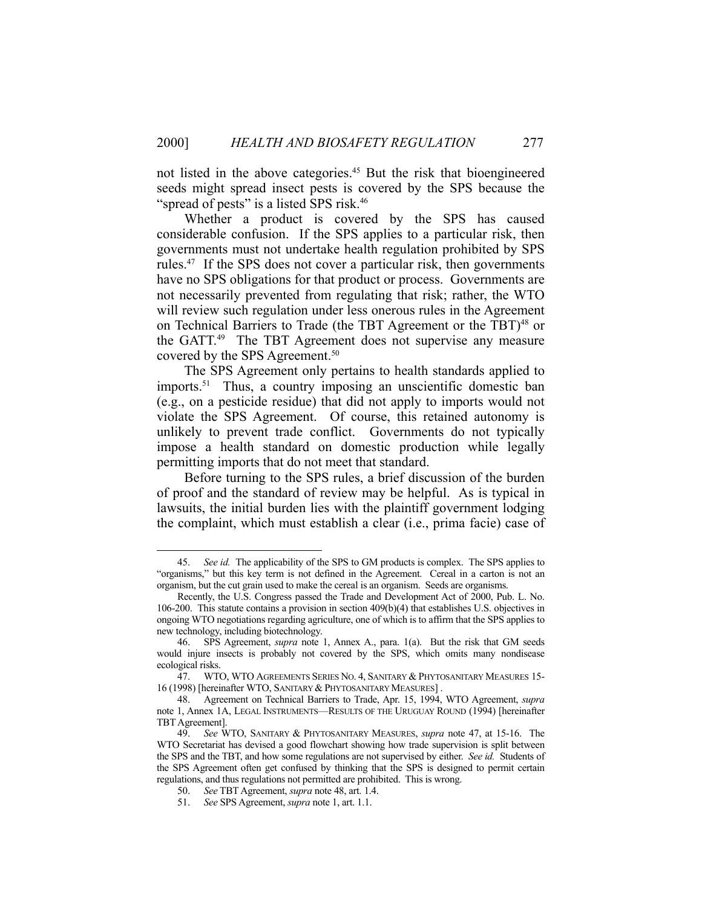not listed in the above categories.45 But the risk that bioengineered seeds might spread insect pests is covered by the SPS because the "spread of pests" is a listed SPS risk.<sup>46</sup>

 Whether a product is covered by the SPS has caused considerable confusion. If the SPS applies to a particular risk, then governments must not undertake health regulation prohibited by SPS rules.47 If the SPS does not cover a particular risk, then governments have no SPS obligations for that product or process. Governments are not necessarily prevented from regulating that risk; rather, the WTO will review such regulation under less onerous rules in the Agreement on Technical Barriers to Trade (the TBT Agreement or the TBT)<sup>48</sup> or the GATT.<sup>49</sup> The TBT Agreement does not supervise any measure covered by the SPS Agreement.<sup>50</sup>

 The SPS Agreement only pertains to health standards applied to imports.<sup>51</sup> Thus, a country imposing an unscientific domestic ban (e.g., on a pesticide residue) that did not apply to imports would not violate the SPS Agreement. Of course, this retained autonomy is unlikely to prevent trade conflict. Governments do not typically impose a health standard on domestic production while legally permitting imports that do not meet that standard.

 Before turning to the SPS rules, a brief discussion of the burden of proof and the standard of review may be helpful. As is typical in lawsuits, the initial burden lies with the plaintiff government lodging the complaint, which must establish a clear (i.e., prima facie) case of

 <sup>45.</sup> *See id.* The applicability of the SPS to GM products is complex. The SPS applies to "organisms," but this key term is not defined in the Agreement. Cereal in a carton is not an organism, but the cut grain used to make the cereal is an organism. Seeds are organisms.

Recently, the U.S. Congress passed the Trade and Development Act of 2000, Pub. L. No. 106-200. This statute contains a provision in section 409(b)(4) that establishes U.S. objectives in ongoing WTO negotiations regarding agriculture, one of which is to affirm that the SPS applies to new technology, including biotechnology.

 <sup>46.</sup> SPS Agreement, *supra* note 1, Annex A., para. 1(a). But the risk that GM seeds would injure insects is probably not covered by the SPS, which omits many nondisease ecological risks.

 <sup>47.</sup> WTO, WTO AGREEMENTS SERIES NO. 4, SANITARY & PHYTOSANITARY MEASURES 15- 16 (1998) [hereinafter WTO, SANITARY & PHYTOSANITARY MEASURES] .

 <sup>48.</sup> Agreement on Technical Barriers to Trade, Apr. 15, 1994, WTO Agreement, *supra*  note 1, Annex 1A, LEGAL INSTRUMENTS—RESULTS OF THE URUGUAY ROUND (1994) [hereinafter TBT Agreement].

 <sup>49.</sup> *See* WTO, SANITARY & PHYTOSANITARY MEASURES, *supra* note 47, at 15-16. The WTO Secretariat has devised a good flowchart showing how trade supervision is split between the SPS and the TBT, and how some regulations are not supervised by either. *See id.* Students of the SPS Agreement often get confused by thinking that the SPS is designed to permit certain regulations, and thus regulations not permitted are prohibited. This is wrong.

 <sup>50.</sup> *See* TBT Agreement, *supra* note 48, art. 1.4.

 <sup>51.</sup> *See* SPS Agreement, *supra* note 1, art. 1.1.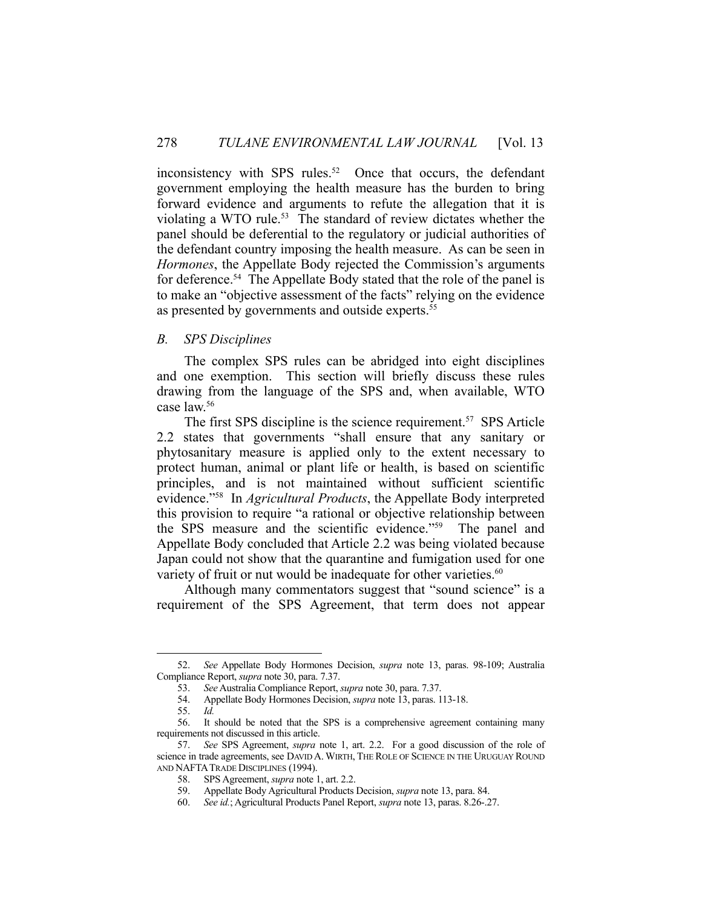inconsistency with SPS rules. $52$  Once that occurs, the defendant government employing the health measure has the burden to bring forward evidence and arguments to refute the allegation that it is violating a WTO rule.<sup>53</sup> The standard of review dictates whether the panel should be deferential to the regulatory or judicial authorities of the defendant country imposing the health measure. As can be seen in *Hormones*, the Appellate Body rejected the Commission's arguments for deference.<sup>54</sup> The Appellate Body stated that the role of the panel is to make an "objective assessment of the facts" relying on the evidence as presented by governments and outside experts.<sup>55</sup>

## *B. SPS Disciplines*

 The complex SPS rules can be abridged into eight disciplines and one exemption. This section will briefly discuss these rules drawing from the language of the SPS and, when available, WTO case law.56

The first SPS discipline is the science requirement.<sup>57</sup> SPS Article 2.2 states that governments "shall ensure that any sanitary or phytosanitary measure is applied only to the extent necessary to protect human, animal or plant life or health, is based on scientific principles, and is not maintained without sufficient scientific evidence."58 In *Agricultural Products*, the Appellate Body interpreted this provision to require "a rational or objective relationship between the SPS measure and the scientific evidence."59 The panel and Appellate Body concluded that Article 2.2 was being violated because Japan could not show that the quarantine and fumigation used for one variety of fruit or nut would be inadequate for other varieties.<sup>60</sup>

Although many commentators suggest that "sound science" is a requirement of the SPS Agreement, that term does not appear

 <sup>52.</sup> *See* Appellate Body Hormones Decision, *supra* note 13, paras. 98-109; Australia Compliance Report, *supra* note 30, para. 7.37.

 <sup>53.</sup> *See* Australia Compliance Report, *supra* note 30, para. 7.37.

 <sup>54.</sup> Appellate Body Hormones Decision, *supra* note 13, paras. 113-18.

 <sup>55.</sup> *Id.*

 <sup>56.</sup> It should be noted that the SPS is a comprehensive agreement containing many requirements not discussed in this article.

 <sup>57.</sup> *See* SPS Agreement, *supra* note 1, art. 2.2. For a good discussion of the role of science in trade agreements, see DAVID A. WIRTH, THE ROLE OF SCIENCE IN THE URUGUAY ROUND AND NAFTATRADE DISCIPLINES (1994).

 <sup>58.</sup> SPS Agreement, *supra* note 1, art. 2.2.

 <sup>59.</sup> Appellate Body Agricultural Products Decision, *supra* note 13, para. 84.

 <sup>60.</sup> *See id.*; Agricultural Products Panel Report, *supra* note 13, paras. 8.26-.27.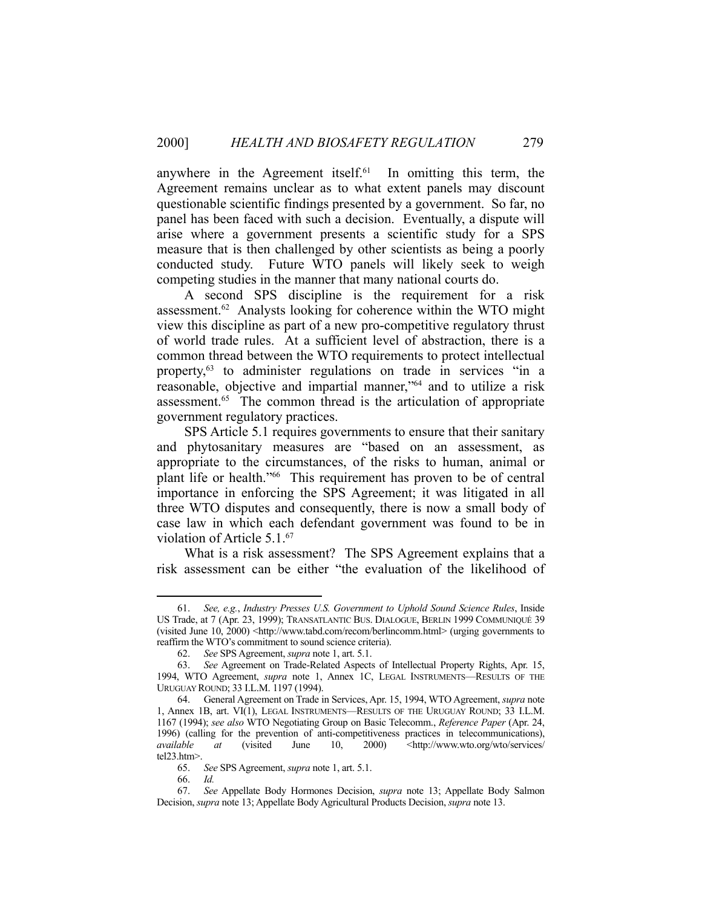anywhere in the Agreement itself. $61$  In omitting this term, the Agreement remains unclear as to what extent panels may discount questionable scientific findings presented by a government. So far, no panel has been faced with such a decision. Eventually, a dispute will arise where a government presents a scientific study for a SPS measure that is then challenged by other scientists as being a poorly conducted study. Future WTO panels will likely seek to weigh competing studies in the manner that many national courts do.

 A second SPS discipline is the requirement for a risk assessment.62 Analysts looking for coherence within the WTO might view this discipline as part of a new pro-competitive regulatory thrust of world trade rules. At a sufficient level of abstraction, there is a common thread between the WTO requirements to protect intellectual property,63 to administer regulations on trade in services "in a reasonable, objective and impartial manner,"64 and to utilize a risk assessment.65 The common thread is the articulation of appropriate government regulatory practices.

 SPS Article 5.1 requires governments to ensure that their sanitary and phytosanitary measures are "based on an assessment, as appropriate to the circumstances, of the risks to human, animal or plant life or health."66 This requirement has proven to be of central importance in enforcing the SPS Agreement; it was litigated in all three WTO disputes and consequently, there is now a small body of case law in which each defendant government was found to be in violation of Article 5.1.67

 What is a risk assessment? The SPS Agreement explains that a risk assessment can be either "the evaluation of the likelihood of

 <sup>61.</sup> *See, e.g.*, *Industry Presses U.S. Government to Uphold Sound Science Rules*, Inside US Trade, at 7 (Apr. 23, 1999); TRANSATLANTIC BUS. DIALOGUE, BERLIN 1999 COMMUNIQUÉ 39 (visited June 10, 2000) <http://www.tabd.com/recom/berlincomm.html> (urging governments to reaffirm the WTO's commitment to sound science criteria).

 <sup>62.</sup> *See* SPS Agreement, *supra* note 1, art. 5.1.

 <sup>63.</sup> *See* Agreement on Trade-Related Aspects of Intellectual Property Rights, Apr. 15, 1994, WTO Agreement, *supra* note 1, Annex 1C, LEGAL INSTRUMENTS—RESULTS OF THE URUGUAY ROUND; 33 I.L.M. 1197 (1994).

 <sup>64.</sup> General Agreement on Trade in Services, Apr. 15, 1994, WTO Agreement, *supra* note 1, Annex 1B, art. VI(1), LEGAL INSTRUMENTS—RESULTS OF THE URUGUAY ROUND; 33 I.L.M. 1167 (1994); *see also* WTO Negotiating Group on Basic Telecomm., *Reference Paper* (Apr. 24, 1996) (calling for the prevention of anti-competitiveness practices in telecommunications), *available* at (visited June 10, 2000) <http://www.wto.org/wto/services/ *at* (visited June 10, 2000) <http://www.wto.org/wto/services/ tel23.htm>.

 <sup>65.</sup> *See* SPS Agreement, *supra* note 1, art. 5.1.

 <sup>66.</sup> *Id.*

 <sup>67.</sup> *See* Appellate Body Hormones Decision, *supra* note 13; Appellate Body Salmon Decision, *supra* note 13; Appellate Body Agricultural Products Decision, *supra* note 13.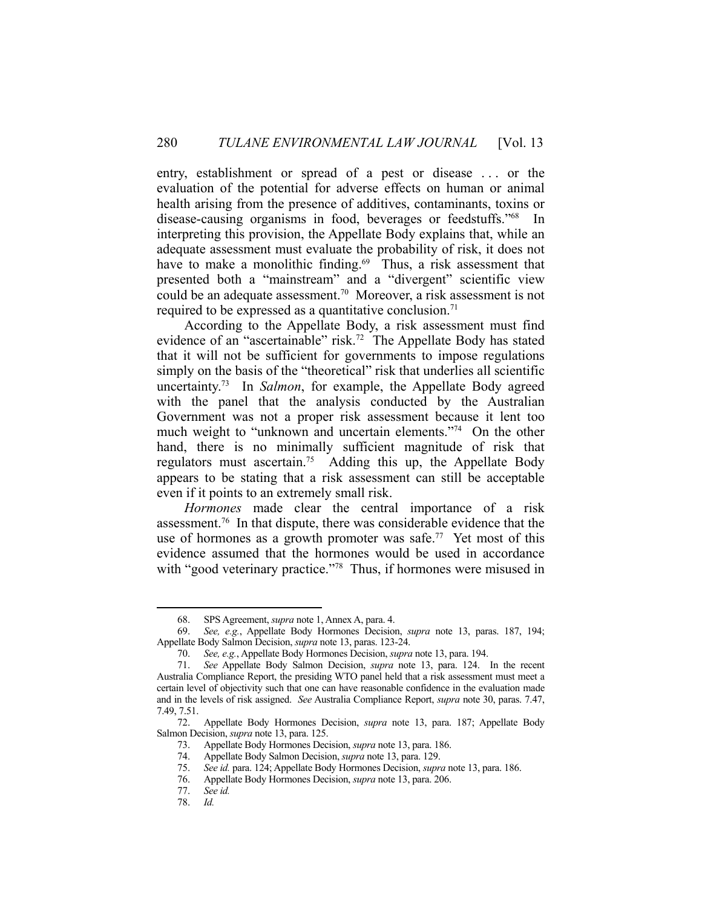entry, establishment or spread of a pest or disease . . . or the evaluation of the potential for adverse effects on human or animal health arising from the presence of additives, contaminants, toxins or disease-causing organisms in food, beverages or feedstuffs."68 In interpreting this provision, the Appellate Body explains that, while an adequate assessment must evaluate the probability of risk, it does not have to make a monolithic finding.<sup>69</sup> Thus, a risk assessment that presented both a "mainstream" and a "divergent" scientific view could be an adequate assessment.70 Moreover, a risk assessment is not required to be expressed as a quantitative conclusion.<sup>71</sup>

 According to the Appellate Body, a risk assessment must find evidence of an "ascertainable" risk.<sup>72</sup> The Appellate Body has stated that it will not be sufficient for governments to impose regulations simply on the basis of the "theoretical" risk that underlies all scientific uncertainty.73 In *Salmon*, for example, the Appellate Body agreed with the panel that the analysis conducted by the Australian Government was not a proper risk assessment because it lent too much weight to "unknown and uncertain elements."74 On the other hand, there is no minimally sufficient magnitude of risk that regulators must ascertain.<sup>75</sup> Adding this up, the Appellate Body appears to be stating that a risk assessment can still be acceptable even if it points to an extremely small risk.

*Hormones* made clear the central importance of a risk assessment.76 In that dispute, there was considerable evidence that the use of hormones as a growth promoter was safe.<sup>77</sup> Yet most of this evidence assumed that the hormones would be used in accordance with "good veterinary practice."<sup>78</sup> Thus, if hormones were misused in

 <sup>68.</sup> SPS Agreement, *supra* note 1, Annex A, para. 4.

 <sup>69.</sup> *See, e.g.*, Appellate Body Hormones Decision, *supra* note 13, paras. 187, 194; Appellate Body Salmon Decision, *supra* note 13, paras. 123-24.

 <sup>70.</sup> *See, e.g.*, Appellate Body Hormones Decision, *supra* note 13, para. 194.

 <sup>71.</sup> *See* Appellate Body Salmon Decision, *supra* note 13, para. 124. In the recent Australia Compliance Report, the presiding WTO panel held that a risk assessment must meet a certain level of objectivity such that one can have reasonable confidence in the evaluation made and in the levels of risk assigned. *See* Australia Compliance Report, *supra* note 30, paras. 7.47, 7.49, 7.51.

 <sup>72.</sup> Appellate Body Hormones Decision, *supra* note 13, para. 187; Appellate Body Salmon Decision, *supra* note 13, para. 125.

 <sup>73.</sup> Appellate Body Hormones Decision, *supra* note 13, para. 186.

 <sup>74.</sup> Appellate Body Salmon Decision, *supra* note 13, para. 129.

 <sup>75.</sup> *See id.* para. 124; Appellate Body Hormones Decision, *supra* note 13, para. 186.

 <sup>76.</sup> Appellate Body Hormones Decision, *supra* note 13, para. 206.

 <sup>77.</sup> *See id.*

 <sup>78.</sup> *Id.*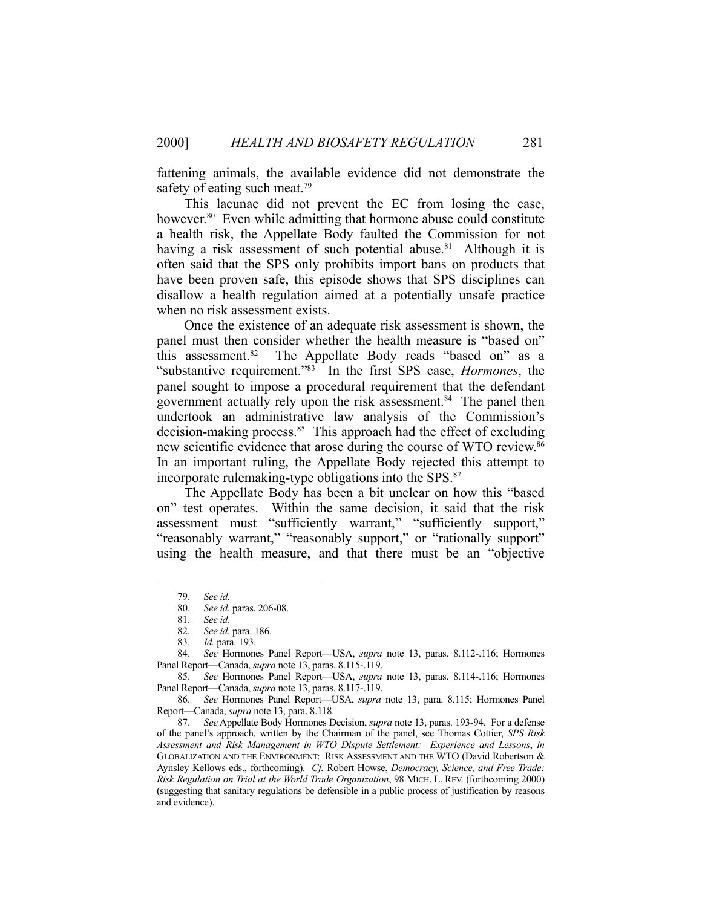fattening animals, the available evidence did not demonstrate the safety of eating such meat.<sup>79</sup>

 This lacunae did not prevent the EC from losing the case, however.<sup>80</sup> Even while admitting that hormone abuse could constitute a health risk, the Appellate Body faulted the Commission for not having a risk assessment of such potential abuse.<sup>81</sup> Although it is often said that the SPS only prohibits import bans on products that have been proven safe, this episode shows that SPS disciplines can disallow a health regulation aimed at a potentially unsafe practice when no risk assessment exists.

 Once the existence of an adequate risk assessment is shown, the panel must then consider whether the health measure is "based on" this assessment.<sup>82</sup> The Appellate Body reads "based on" as a "substantive requirement."83 In the first SPS case, *Hormones*, the panel sought to impose a procedural requirement that the defendant government actually rely upon the risk assessment.<sup>84</sup> The panel then undertook an administrative law analysis of the Commission's decision-making process.<sup>85</sup> This approach had the effect of excluding new scientific evidence that arose during the course of WTO review.<sup>86</sup> In an important ruling, the Appellate Body rejected this attempt to incorporate rulemaking-type obligations into the SPS.<sup>87</sup>

 The Appellate Body has been a bit unclear on how this "based on" test operates. Within the same decision, it said that the risk assessment must "sufficiently warrant," "sufficiently support," "reasonably warrant," "reasonably support," or "rationally support" using the health measure, and that there must be an "objective

1

 86. *See* Hormones Panel Report—USA, *supra* note 13, para. 8.115; Hormones Panel Report—Canada, *supra* note 13, para. 8.118.

 <sup>79.</sup> *See id.*

 <sup>80.</sup> *See id.* paras. 206-08.

 <sup>81.</sup> *See id*.

 <sup>82.</sup> *See id.* para. 186.

 <sup>83.</sup> *Id.* para. 193.

 <sup>84.</sup> *See* Hormones Panel Report—USA, *supra* note 13, paras. 8.112-.116; Hormones Panel Report—Canada, *supra* note 13, paras. 8.115-.119.

 <sup>85.</sup> *See* Hormones Panel Report—USA, *supra* note 13, paras. 8.114-.116; Hormones Panel Report—Canada, *supra* note 13, paras. 8.117-.119.

 <sup>87.</sup> *See* Appellate Body Hormones Decision, *supra* note 13, paras. 193-94. For a defense of the panel's approach, written by the Chairman of the panel, see Thomas Cottier, *SPS Risk Assessment and Risk Management in WTO Dispute Settlement: Experience and Lessons*, *in* GLOBALIZATION AND THE ENVIRONMENT: RISK ASSESSMENT AND THE WTO (David Robertson & Aynsley Kellows eds., forthcoming). *Cf.* Robert Howse, *Democracy, Science, and Free Trade: Risk Regulation on Trial at the World Trade Organization*, 98 MICH. L. REV. (forthcoming 2000) (suggesting that sanitary regulations be defensible in a public process of justification by reasons and evidence).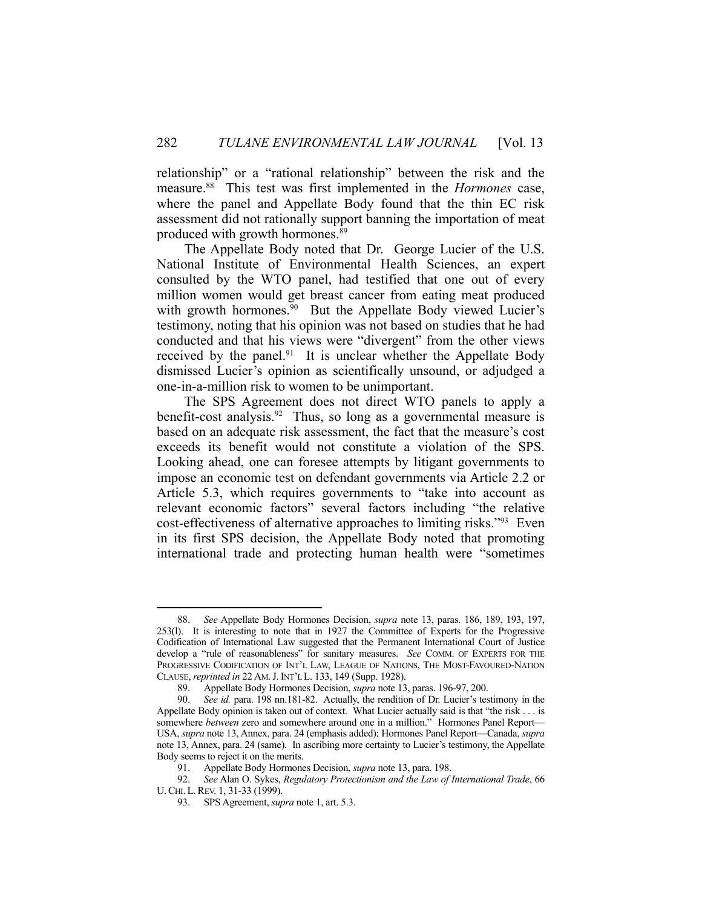relationship" or a "rational relationship" between the risk and the measure.88 This test was first implemented in the *Hormones* case, where the panel and Appellate Body found that the thin EC risk assessment did not rationally support banning the importation of meat produced with growth hormones.89

 The Appellate Body noted that Dr. George Lucier of the U.S. National Institute of Environmental Health Sciences, an expert consulted by the WTO panel, had testified that one out of every million women would get breast cancer from eating meat produced with growth hormones.<sup>90</sup> But the Appellate Body viewed Lucier's testimony, noting that his opinion was not based on studies that he had conducted and that his views were "divergent" from the other views received by the panel. $91$  It is unclear whether the Appellate Body dismissed Lucier's opinion as scientifically unsound, or adjudged a one-in-a-million risk to women to be unimportant.

 The SPS Agreement does not direct WTO panels to apply a benefit-cost analysis.<sup>92</sup> Thus, so long as a governmental measure is based on an adequate risk assessment, the fact that the measure's cost exceeds its benefit would not constitute a violation of the SPS. Looking ahead, one can foresee attempts by litigant governments to impose an economic test on defendant governments via Article 2.2 or Article 5.3, which requires governments to "take into account as relevant economic factors" several factors including "the relative cost-effectiveness of alternative approaches to limiting risks."93 Even in its first SPS decision, the Appellate Body noted that promoting international trade and protecting human health were "sometimes

<sup>1</sup>  88. *See* Appellate Body Hormones Decision, *supra* note 13, paras. 186, 189, 193, 197, 253(l). It is interesting to note that in 1927 the Committee of Experts for the Progressive Codification of International Law suggested that the Permanent International Court of Justice develop a "rule of reasonableness" for sanitary measures. *See* COMM. OF EXPERTS FOR THE PROGRESSIVE CODIFICATION OF INT'L LAW, LEAGUE OF NATIONS, THE MOST-FAVOURED-NATION CLAUSE, *reprinted in* 22 AM.J. INT'L L. 133, 149 (Supp. 1928).

 <sup>89.</sup> Appellate Body Hormones Decision, *supra* note 13, paras. 196-97, 200.

 <sup>90.</sup> *See id.* para. 198 nn.181-82. Actually, the rendition of Dr. Lucier's testimony in the Appellate Body opinion is taken out of context. What Lucier actually said is that "the risk . . . is somewhere *between* zero and somewhere around one in a million." Hormones Panel Report— USA, *supra* note 13, Annex, para. 24 (emphasis added); Hormones Panel Report—Canada, *supra* note 13, Annex, para. 24 (same). In ascribing more certainty to Lucier's testimony, the Appellate Body seems to reject it on the merits.

 <sup>91.</sup> Appellate Body Hormones Decision, *supra* note 13, para. 198.

 <sup>92.</sup> *See* Alan O. Sykes, *Regulatory Protectionism and the Law of International Trade*, 66 U.CHI. L.REV. 1, 31-33 (1999).

 <sup>93.</sup> SPS Agreement, *supra* note 1, art. 5.3.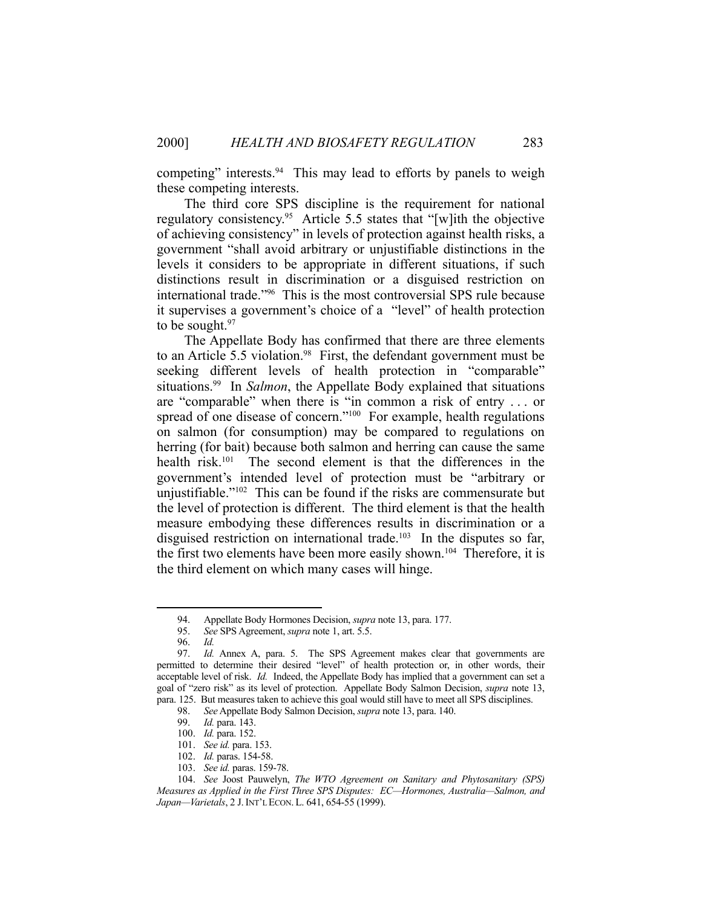competing" interests.<sup>94</sup> This may lead to efforts by panels to weigh these competing interests.

 The third core SPS discipline is the requirement for national regulatory consistency.<sup>95</sup> Article 5.5 states that "[w]ith the objective of achieving consistency" in levels of protection against health risks, a government "shall avoid arbitrary or unjustifiable distinctions in the levels it considers to be appropriate in different situations, if such distinctions result in discrimination or a disguised restriction on international trade."96 This is the most controversial SPS rule because it supervises a government's choice of a "level" of health protection to be sought. $97$ 

 The Appellate Body has confirmed that there are three elements to an Article 5.5 violation.<sup>98</sup> First, the defendant government must be seeking different levels of health protection in "comparable" situations.99 In *Salmon*, the Appellate Body explained that situations are "comparable" when there is "in common a risk of entry . . . or spread of one disease of concern."<sup>100</sup> For example, health regulations on salmon (for consumption) may be compared to regulations on herring (for bait) because both salmon and herring can cause the same health risk.<sup>101</sup> The second element is that the differences in the government's intended level of protection must be "arbitrary or unjustifiable." $102$  This can be found if the risks are commensurate but the level of protection is different. The third element is that the health measure embodying these differences results in discrimination or a disguised restriction on international trade.<sup>103</sup> In the disputes so far, the first two elements have been more easily shown.<sup>104</sup> Therefore, it is the third element on which many cases will hinge.

 <sup>94.</sup> Appellate Body Hormones Decision, *supra* note 13, para. 177.

 <sup>95.</sup> *See* SPS Agreement, *supra* note 1, art. 5.5.

 <sup>96.</sup> *Id.*

 <sup>97.</sup> *Id.* Annex A, para. 5. The SPS Agreement makes clear that governments are permitted to determine their desired "level" of health protection or, in other words, their acceptable level of risk. *Id.* Indeed, the Appellate Body has implied that a government can set a goal of "zero risk" as its level of protection. Appellate Body Salmon Decision, *supra* note 13, para. 125. But measures taken to achieve this goal would still have to meet all SPS disciplines.

 <sup>98.</sup> *See* Appellate Body Salmon Decision, *supra* note 13, para. 140.

 <sup>99.</sup> *Id.* para. 143.

 <sup>100.</sup> *Id.* para. 152.

 <sup>101.</sup> *See id.* para. 153.

 <sup>102.</sup> *Id.* paras. 154-58.

 <sup>103.</sup> *See id.* paras. 159-78.

 <sup>104.</sup> *See* Joost Pauwelyn, *The WTO Agreement on Sanitary and Phytosanitary (SPS) Measures as Applied in the First Three SPS Disputes: EC—Hormones, Australia—Salmon, and Japan—Varietals*, 2 J.INT'L ECON. L. 641, 654-55 (1999).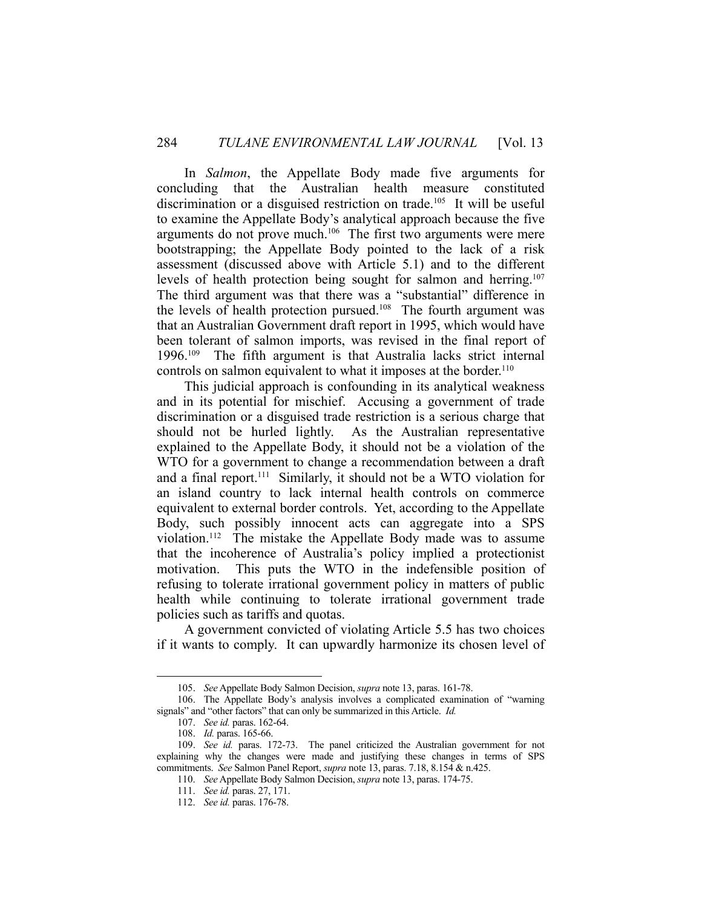In *Salmon*, the Appellate Body made five arguments for concluding that the Australian health measure constituted discrimination or a disguised restriction on trade.<sup>105</sup> It will be useful to examine the Appellate Body's analytical approach because the five arguments do not prove much.106 The first two arguments were mere bootstrapping; the Appellate Body pointed to the lack of a risk assessment (discussed above with Article 5.1) and to the different levels of health protection being sought for salmon and herring. 107 The third argument was that there was a "substantial" difference in the levels of health protection pursued.108 The fourth argument was that an Australian Government draft report in 1995, which would have been tolerant of salmon imports, was revised in the final report of 1996.109 The fifth argument is that Australia lacks strict internal controls on salmon equivalent to what it imposes at the border.<sup>110</sup>

 This judicial approach is confounding in its analytical weakness and in its potential for mischief. Accusing a government of trade discrimination or a disguised trade restriction is a serious charge that should not be hurled lightly. As the Australian representative explained to the Appellate Body, it should not be a violation of the WTO for a government to change a recommendation between a draft and a final report.111 Similarly, it should not be a WTO violation for an island country to lack internal health controls on commerce equivalent to external border controls. Yet, according to the Appellate Body, such possibly innocent acts can aggregate into a SPS violation.112 The mistake the Appellate Body made was to assume that the incoherence of Australia's policy implied a protectionist motivation. This puts the WTO in the indefensible position of refusing to tolerate irrational government policy in matters of public health while continuing to tolerate irrational government trade policies such as tariffs and quotas.

 A government convicted of violating Article 5.5 has two choices if it wants to comply. It can upwardly harmonize its chosen level of

 <sup>105.</sup> *See* Appellate Body Salmon Decision, *supra* note 13, paras. 161-78.

 <sup>106.</sup> The Appellate Body's analysis involves a complicated examination of "warning signals" and "other factors" that can only be summarized in this Article. *Id.*

 <sup>107.</sup> *See id.* paras. 162-64.

 <sup>108.</sup> *Id.* paras. 165-66.

 <sup>109.</sup> *See id.* paras. 172-73. The panel criticized the Australian government for not explaining why the changes were made and justifying these changes in terms of SPS commitments. *See* Salmon Panel Report, *supra* note 13, paras. 7.18, 8.154 & n.425.

 <sup>110.</sup> *See* Appellate Body Salmon Decision, *supra* note 13, paras. 174-75.

 <sup>111.</sup> *See id.* paras. 27, 171.

 <sup>112.</sup> *See id.* paras. 176-78.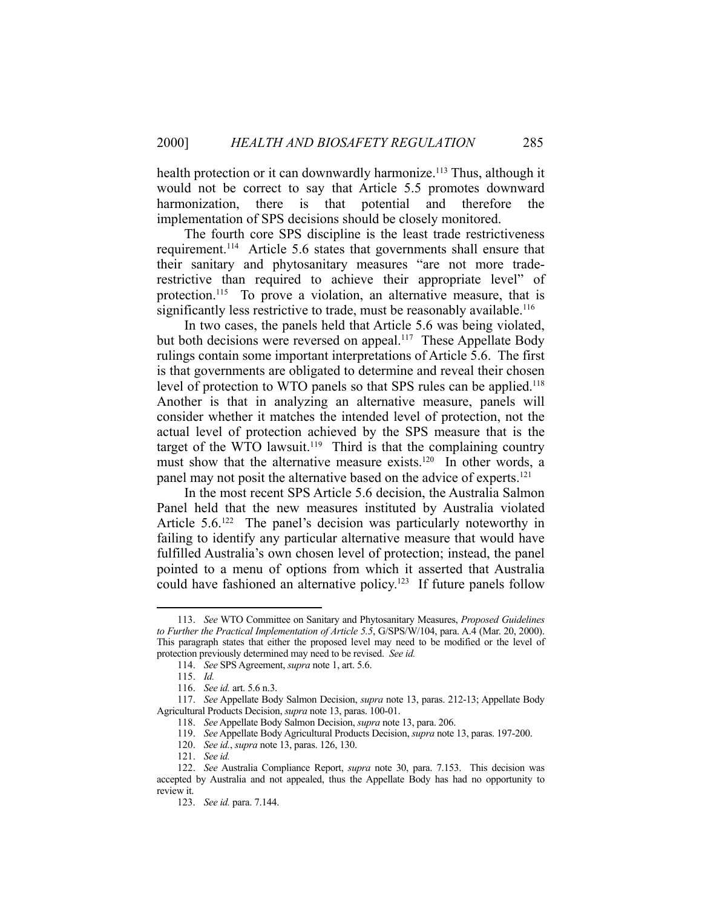health protection or it can downwardly harmonize.<sup>113</sup> Thus, although it would not be correct to say that Article 5.5 promotes downward harmonization, there is that potential and therefore the implementation of SPS decisions should be closely monitored.

 The fourth core SPS discipline is the least trade restrictiveness requirement.114 Article 5.6 states that governments shall ensure that their sanitary and phytosanitary measures "are not more traderestrictive than required to achieve their appropriate level" of protection.<sup>115</sup> To prove a violation, an alternative measure, that is significantly less restrictive to trade, must be reasonably available.<sup>116</sup>

 In two cases, the panels held that Article 5.6 was being violated, but both decisions were reversed on appeal.<sup>117</sup> These Appellate Body rulings contain some important interpretations of Article 5.6. The first is that governments are obligated to determine and reveal their chosen level of protection to WTO panels so that SPS rules can be applied.<sup>118</sup> Another is that in analyzing an alternative measure, panels will consider whether it matches the intended level of protection, not the actual level of protection achieved by the SPS measure that is the target of the WTO lawsuit.<sup>119</sup> Third is that the complaining country must show that the alternative measure exists.<sup>120</sup> In other words, a panel may not posit the alternative based on the advice of experts.<sup>121</sup>

 In the most recent SPS Article 5.6 decision, the Australia Salmon Panel held that the new measures instituted by Australia violated Article 5.6.<sup>122</sup> The panel's decision was particularly noteworthy in failing to identify any particular alternative measure that would have fulfilled Australia's own chosen level of protection; instead, the panel pointed to a menu of options from which it asserted that Australia could have fashioned an alternative policy.<sup>123</sup> If future panels follow

 <sup>113.</sup> *See* WTO Committee on Sanitary and Phytosanitary Measures, *Proposed Guidelines to Further the Practical Implementation of Article 5.5*, G/SPS/W/104, para. A.4 (Mar. 20, 2000). This paragraph states that either the proposed level may need to be modified or the level of protection previously determined may need to be revised. *See id.*

 <sup>114.</sup> *See* SPS Agreement, *supra* note 1, art. 5.6.

 <sup>115.</sup> *Id.*

 <sup>116.</sup> *See id.* art. 5.6 n.3.

 <sup>117.</sup> *See* Appellate Body Salmon Decision, *supra* note 13, paras. 212-13; Appellate Body Agricultural Products Decision, *supra* note 13, paras. 100-01.

 <sup>118.</sup> *See* Appellate Body Salmon Decision, *supra* note 13, para. 206.

 <sup>119.</sup> *See* Appellate Body Agricultural Products Decision, *supra* note 13, paras. 197-200.

 <sup>120.</sup> *See id.*, *supra* note 13, paras. 126, 130.

 <sup>121.</sup> *See id.*

 <sup>122.</sup> *See* Australia Compliance Report, *supra* note 30, para. 7.153. This decision was accepted by Australia and not appealed, thus the Appellate Body has had no opportunity to review it.

 <sup>123.</sup> *See id.* para. 7.144.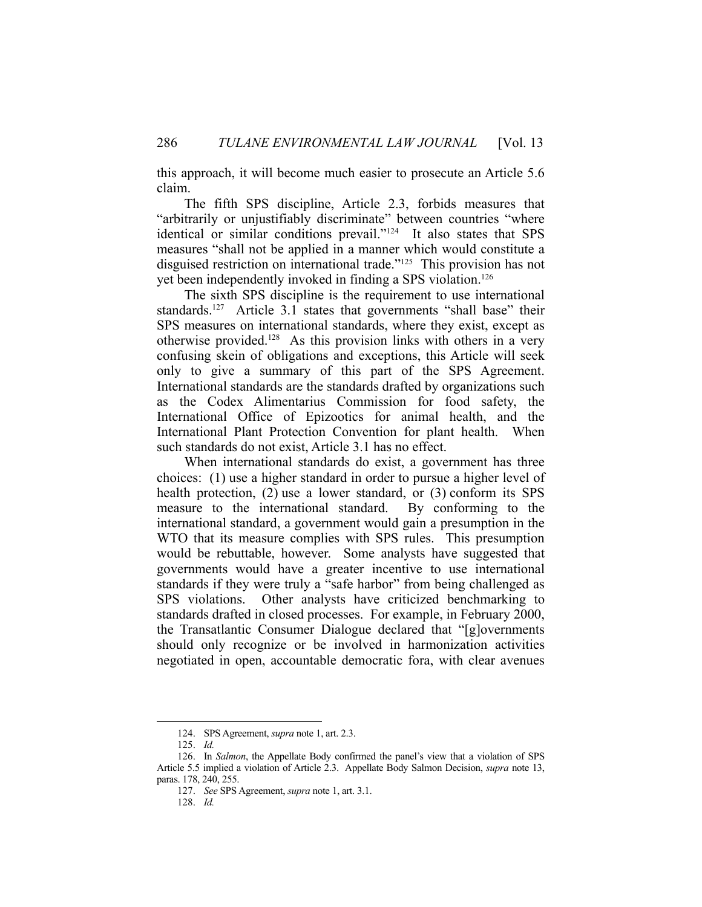this approach, it will become much easier to prosecute an Article 5.6 claim.

 The fifth SPS discipline, Article 2.3, forbids measures that "arbitrarily or unjustifiably discriminate" between countries "where identical or similar conditions prevail."124 It also states that SPS measures "shall not be applied in a manner which would constitute a disguised restriction on international trade."125 This provision has not yet been independently invoked in finding a SPS violation.126

 The sixth SPS discipline is the requirement to use international standards.<sup>127</sup> Article 3.1 states that governments "shall base" their SPS measures on international standards, where they exist, except as otherwise provided.128 As this provision links with others in a very confusing skein of obligations and exceptions, this Article will seek only to give a summary of this part of the SPS Agreement. International standards are the standards drafted by organizations such as the Codex Alimentarius Commission for food safety, the International Office of Epizootics for animal health, and the International Plant Protection Convention for plant health. When such standards do not exist, Article 3.1 has no effect.

 When international standards do exist, a government has three choices: (1) use a higher standard in order to pursue a higher level of health protection, (2) use a lower standard, or (3) conform its SPS measure to the international standard. By conforming to the international standard, a government would gain a presumption in the WTO that its measure complies with SPS rules. This presumption would be rebuttable, however. Some analysts have suggested that governments would have a greater incentive to use international standards if they were truly a "safe harbor" from being challenged as SPS violations. Other analysts have criticized benchmarking to standards drafted in closed processes. For example, in February 2000, the Transatlantic Consumer Dialogue declared that "[g]overnments should only recognize or be involved in harmonization activities negotiated in open, accountable democratic fora, with clear avenues

 <sup>124.</sup> SPS Agreement, *supra* note 1, art. 2.3.

 <sup>125.</sup> *Id.*

 <sup>126.</sup> In *Salmon*, the Appellate Body confirmed the panel's view that a violation of SPS Article 5.5 implied a violation of Article 2.3. Appellate Body Salmon Decision, *supra* note 13, paras. 178, 240, 255.

 <sup>127.</sup> *See* SPS Agreement, *supra* note 1, art. 3.1.

 <sup>128.</sup> *Id.*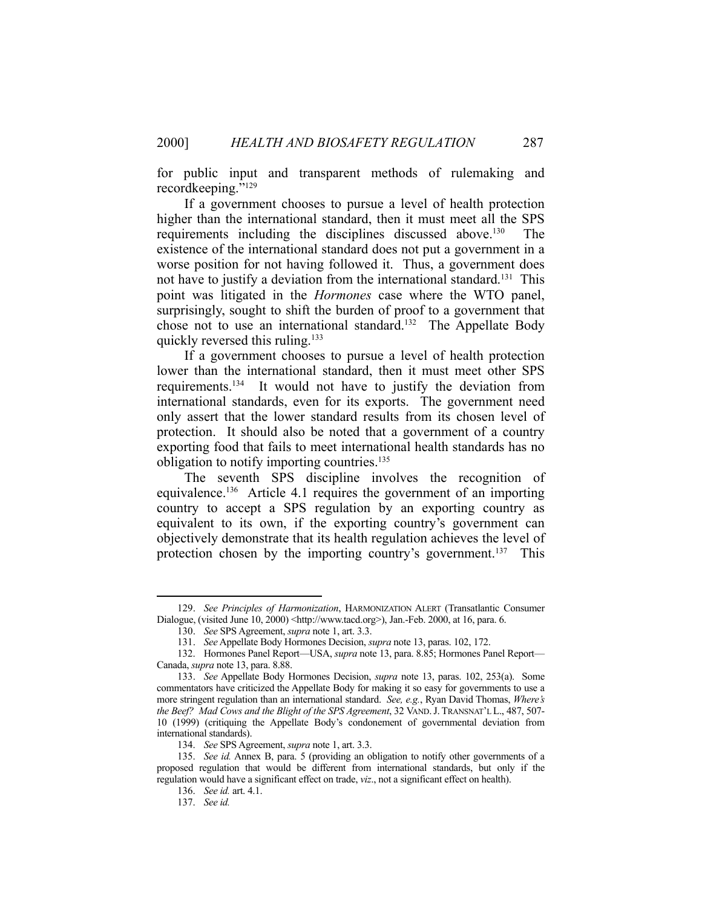for public input and transparent methods of rulemaking and recordkeeping."129

 If a government chooses to pursue a level of health protection higher than the international standard, then it must meet all the SPS requirements including the disciplines discussed above.130 The existence of the international standard does not put a government in a worse position for not having followed it. Thus, a government does not have to justify a deviation from the international standard. 131 This point was litigated in the *Hormones* case where the WTO panel, surprisingly, sought to shift the burden of proof to a government that chose not to use an international standard.132 The Appellate Body quickly reversed this ruling.<sup>133</sup>

 If a government chooses to pursue a level of health protection lower than the international standard, then it must meet other SPS requirements.134 It would not have to justify the deviation from international standards, even for its exports. The government need only assert that the lower standard results from its chosen level of protection. It should also be noted that a government of a country exporting food that fails to meet international health standards has no obligation to notify importing countries.<sup>135</sup>

 The seventh SPS discipline involves the recognition of equivalence.<sup>136</sup> Article 4.1 requires the government of an importing country to accept a SPS regulation by an exporting country as equivalent to its own, if the exporting country's government can objectively demonstrate that its health regulation achieves the level of protection chosen by the importing country's government.<sup>137</sup> This

 <sup>129.</sup> *See Principles of Harmonization*, HARMONIZATION ALERT (Transatlantic Consumer Dialogue, (visited June 10, 2000) <http://www.tacd.org>), Jan.-Feb. 2000, at 16, para. 6.

 <sup>130.</sup> *See* SPS Agreement, *supra* note 1, art. 3.3.

 <sup>131.</sup> *See* Appellate Body Hormones Decision, *supra* note 13, paras. 102, 172.

 <sup>132.</sup> Hormones Panel Report—USA, *supra* note 13, para. 8.85; Hormones Panel Report— Canada, *supra* note 13, para. 8.88.

 <sup>133.</sup> *See* Appellate Body Hormones Decision, *supra* note 13, paras. 102, 253(a). Some commentators have criticized the Appellate Body for making it so easy for governments to use a more stringent regulation than an international standard. *See, e.g.*, Ryan David Thomas, *Where's the Beef? Mad Cows and the Blight of the SPS Agreement*, 32 VAND.J. TRANSNAT'L L., 487, 507- 10 (1999) (critiquing the Appellate Body's condonement of governmental deviation from international standards).

 <sup>134.</sup> *See* SPS Agreement, *supra* note 1, art. 3.3.

 <sup>135.</sup> *See id.* Annex B, para. 5 (providing an obligation to notify other governments of a proposed regulation that would be different from international standards, but only if the regulation would have a significant effect on trade, *viz*., not a significant effect on health).

 <sup>136.</sup> *See id.* art. 4.1.

 <sup>137.</sup> *See id.*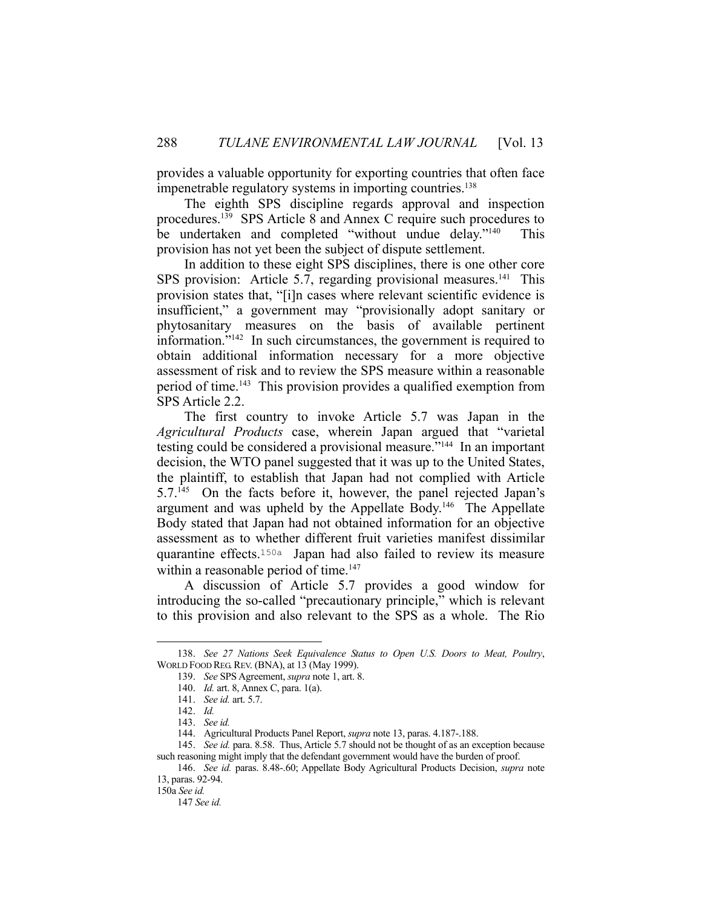provides a valuable opportunity for exporting countries that often face impenetrable regulatory systems in importing countries.<sup>138</sup>

 The eighth SPS discipline regards approval and inspection procedures.139 SPS Article 8 and Annex C require such procedures to be undertaken and completed "without undue delay."140 This provision has not yet been the subject of dispute settlement.

 In addition to these eight SPS disciplines, there is one other core SPS provision: Article 5.7, regarding provisional measures. $^{141}$  This provision states that, "[i]n cases where relevant scientific evidence is insufficient," a government may "provisionally adopt sanitary or phytosanitary measures on the basis of available pertinent information."142 In such circumstances, the government is required to obtain additional information necessary for a more objective assessment of risk and to review the SPS measure within a reasonable period of time.143 This provision provides a qualified exemption from SPS Article 2.2.

 The first country to invoke Article 5.7 was Japan in the *Agricultural Products* case, wherein Japan argued that "varietal testing could be considered a provisional measure."<sup>144</sup> In an important decision, the WTO panel suggested that it was up to the United States, the plaintiff, to establish that Japan had not complied with Article 5.7.145 On the facts before it, however, the panel rejected Japan's argument and was upheld by the Appellate Body.146 The Appellate Body stated that Japan had not obtained information for an objective assessment as to whether different fruit varieties manifest dissimilar quarantine effects.150a Japan had also failed to review its measure within a reasonable period of time. $147$ 

 A discussion of Article 5.7 provides a good window for introducing the so-called "precautionary principle," which is relevant to this provision and also relevant to the SPS as a whole. The Rio

 <sup>138.</sup> *See 27 Nations Seek Equivalence Status to Open U.S. Doors to Meat, Poultry*, WORLD FOOD REG. REV. (BNA), at 13 (May 1999).

 <sup>139.</sup> *See* SPS Agreement, *supra* note 1, art. 8.

 <sup>140.</sup> *Id.* art. 8, Annex C, para. 1(a).

 <sup>141.</sup> *See id.* art. 5.7.

 <sup>142.</sup> *Id.*

 <sup>143.</sup> *See id.*

 <sup>144.</sup> Agricultural Products Panel Report, *supra* note 13, paras. 4.187-.188.

 <sup>145.</sup> *See id.* para. 8.58. Thus, Article 5.7 should not be thought of as an exception because such reasoning might imply that the defendant government would have the burden of proof.

 <sup>146.</sup> *See id.* paras. 8.48-.60; Appellate Body Agricultural Products Decision, *supra* note 13, paras. 92-94.

<sup>150</sup>a *See id.* 

 <sup>147</sup> *See id.*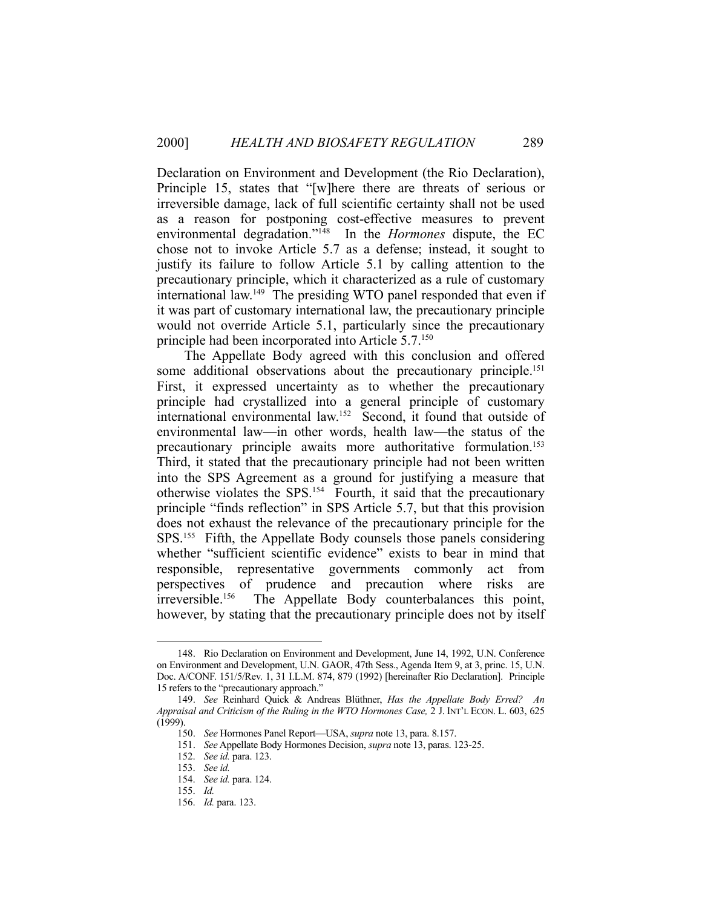Declaration on Environment and Development (the Rio Declaration), Principle 15, states that "[w]here there are threats of serious or irreversible damage, lack of full scientific certainty shall not be used as a reason for postponing cost-effective measures to prevent environmental degradation."148 In the *Hormones* dispute, the EC chose not to invoke Article 5.7 as a defense; instead, it sought to justify its failure to follow Article 5.1 by calling attention to the precautionary principle, which it characterized as a rule of customary international law.<sup>149</sup> The presiding WTO panel responded that even if it was part of customary international law, the precautionary principle would not override Article 5.1, particularly since the precautionary principle had been incorporated into Article 5.7.150

 The Appellate Body agreed with this conclusion and offered some additional observations about the precautionary principle.<sup>151</sup> First, it expressed uncertainty as to whether the precautionary principle had crystallized into a general principle of customary international environmental law.152 Second, it found that outside of environmental law—in other words, health law—the status of the precautionary principle awaits more authoritative formulation.153 Third, it stated that the precautionary principle had not been written into the SPS Agreement as a ground for justifying a measure that otherwise violates the SPS.154 Fourth, it said that the precautionary principle "finds reflection" in SPS Article 5.7, but that this provision does not exhaust the relevance of the precautionary principle for the SPS.155 Fifth, the Appellate Body counsels those panels considering whether "sufficient scientific evidence" exists to bear in mind that responsible, representative governments commonly act from perspectives of prudence and precaution where risks are irreversible.156 The Appellate Body counterbalances this point, however, by stating that the precautionary principle does not by itself

 <sup>148.</sup> Rio Declaration on Environment and Development, June 14, 1992, U.N. Conference on Environment and Development, U.N. GAOR, 47th Sess., Agenda Item 9, at 3, princ. 15, U.N. Doc. A/CONF. 151/5/Rev. 1, 31 I.L.M. 874, 879 (1992) [hereinafter Rio Declaration]. Principle 15 refers to the "precautionary approach."

 <sup>149.</sup> *See* Reinhard Quick & Andreas Blüthner, *Has the Appellate Body Erred? An Appraisal and Criticism of the Ruling in the WTO Hormones Case,* 2 J. INT'L ECON. L. 603, 625 (1999).

 <sup>150.</sup> *See* Hormones Panel Report—USA, *supra* note 13, para. 8.157.

 <sup>151.</sup> *See* Appellate Body Hormones Decision, *supra* note 13, paras. 123-25.

 <sup>152.</sup> *See id.* para. 123.

 <sup>153.</sup> *See id.*

 <sup>154.</sup> *See id.* para. 124.

 <sup>155.</sup> *Id.*

 <sup>156.</sup> *Id.* para. 123.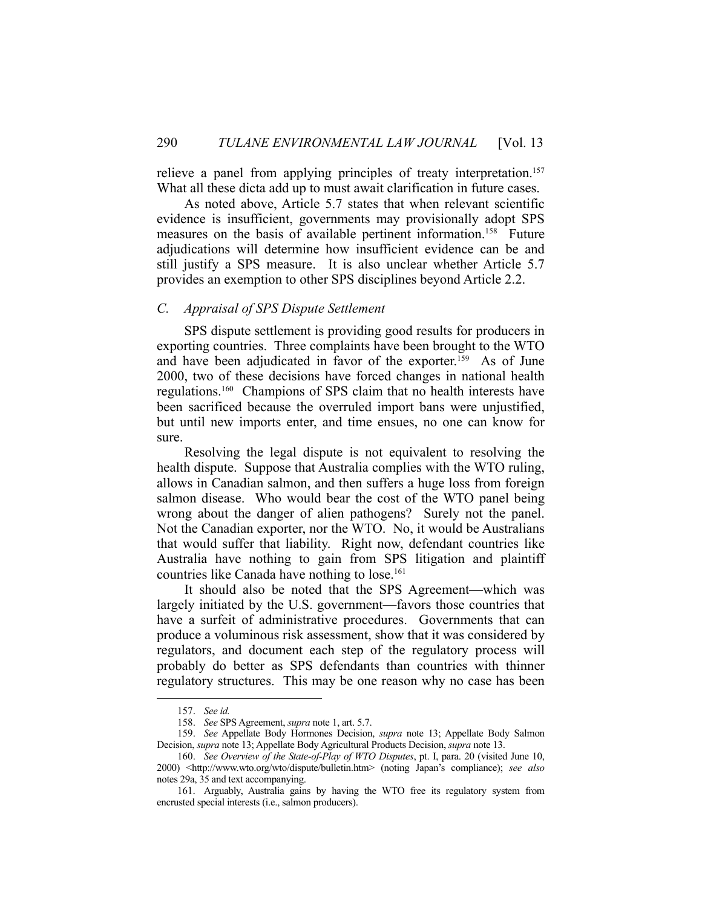relieve a panel from applying principles of treaty interpretation.<sup>157</sup> What all these dicta add up to must await clarification in future cases.

 As noted above, Article 5.7 states that when relevant scientific evidence is insufficient, governments may provisionally adopt SPS measures on the basis of available pertinent information.<sup>158</sup> Future adjudications will determine how insufficient evidence can be and still justify a SPS measure. It is also unclear whether Article 5.7 provides an exemption to other SPS disciplines beyond Article 2.2.

### *C. Appraisal of SPS Dispute Settlement*

 SPS dispute settlement is providing good results for producers in exporting countries. Three complaints have been brought to the WTO and have been adjudicated in favor of the exporter.<sup>159</sup> As of June 2000, two of these decisions have forced changes in national health regulations.160 Champions of SPS claim that no health interests have been sacrificed because the overruled import bans were unjustified, but until new imports enter, and time ensues, no one can know for sure.

 Resolving the legal dispute is not equivalent to resolving the health dispute. Suppose that Australia complies with the WTO ruling, allows in Canadian salmon, and then suffers a huge loss from foreign salmon disease. Who would bear the cost of the WTO panel being wrong about the danger of alien pathogens? Surely not the panel. Not the Canadian exporter, nor the WTO. No, it would be Australians that would suffer that liability. Right now, defendant countries like Australia have nothing to gain from SPS litigation and plaintiff countries like Canada have nothing to lose.<sup>161</sup>

 It should also be noted that the SPS Agreement—which was largely initiated by the U.S. government—favors those countries that have a surfeit of administrative procedures. Governments that can produce a voluminous risk assessment, show that it was considered by regulators, and document each step of the regulatory process will probably do better as SPS defendants than countries with thinner regulatory structures. This may be one reason why no case has been

 <sup>157.</sup> *See id.*

 <sup>158.</sup> *See* SPS Agreement, *supra* note 1, art. 5.7.

 <sup>159.</sup> *See* Appellate Body Hormones Decision, *supra* note 13; Appellate Body Salmon Decision, *supra* note 13; Appellate Body Agricultural Products Decision, *supra* note 13.

 <sup>160.</sup> *See Overview of the State-of-Play of WTO Disputes*, pt. I, para. 20 (visited June 10, 2000) <http://www.wto.org/wto/dispute/bulletin.htm> (noting Japan's compliance); *see also* notes 29a, 35 and text accompanying.

 <sup>161.</sup> Arguably, Australia gains by having the WTO free its regulatory system from encrusted special interests (i.e., salmon producers).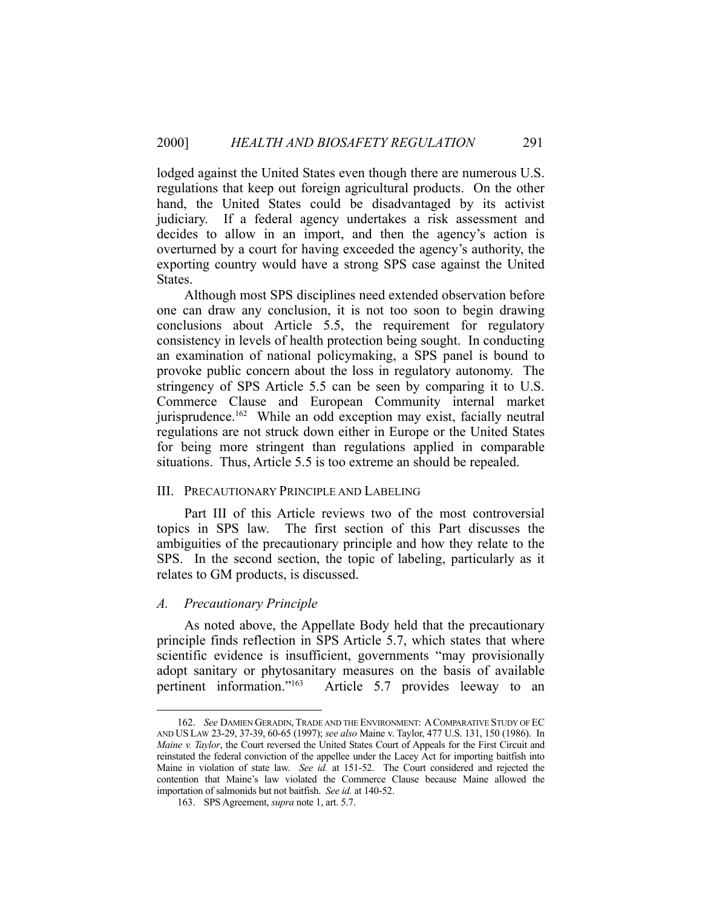lodged against the United States even though there are numerous U.S. regulations that keep out foreign agricultural products. On the other hand, the United States could be disadvantaged by its activist judiciary. If a federal agency undertakes a risk assessment and decides to allow in an import, and then the agency's action is overturned by a court for having exceeded the agency's authority, the exporting country would have a strong SPS case against the United States.

 Although most SPS disciplines need extended observation before one can draw any conclusion, it is not too soon to begin drawing conclusions about Article 5.5, the requirement for regulatory consistency in levels of health protection being sought. In conducting an examination of national policymaking, a SPS panel is bound to provoke public concern about the loss in regulatory autonomy. The stringency of SPS Article 5.5 can be seen by comparing it to U.S. Commerce Clause and European Community internal market jurisprudence.<sup>162</sup> While an odd exception may exist, facially neutral regulations are not struck down either in Europe or the United States for being more stringent than regulations applied in comparable situations. Thus, Article 5.5 is too extreme an should be repealed.

## III. PRECAUTIONARY PRINCIPLE AND LABELING

 Part III of this Article reviews two of the most controversial topics in SPS law. The first section of this Part discusses the ambiguities of the precautionary principle and how they relate to the SPS. In the second section, the topic of labeling, particularly as it relates to GM products, is discussed.

#### *A. Precautionary Principle*

<u>.</u>

 As noted above, the Appellate Body held that the precautionary principle finds reflection in SPS Article 5.7, which states that where scientific evidence is insufficient, governments "may provisionally adopt sanitary or phytosanitary measures on the basis of available pertinent information."163 Article 5.7 provides leeway to an

 <sup>162.</sup> *See* DAMIEN GERADIN, TRADE AND THE ENVIRONMENT: ACOMPARATIVE STUDY OF EC AND US LAW 23-29, 37-39, 60-65 (1997); *see also* Maine v. Taylor, 477 U.S. 131, 150 (1986). In *Maine v. Taylor*, the Court reversed the United States Court of Appeals for the First Circuit and reinstated the federal conviction of the appellee under the Lacey Act for importing baitfish into Maine in violation of state law. *See id.* at 151-52. The Court considered and rejected the contention that Maine's law violated the Commerce Clause because Maine allowed the importation of salmonids but not baitfish. *See id.* at 140-52.

 <sup>163.</sup> SPS Agreement, *supra* note 1, art. 5.7.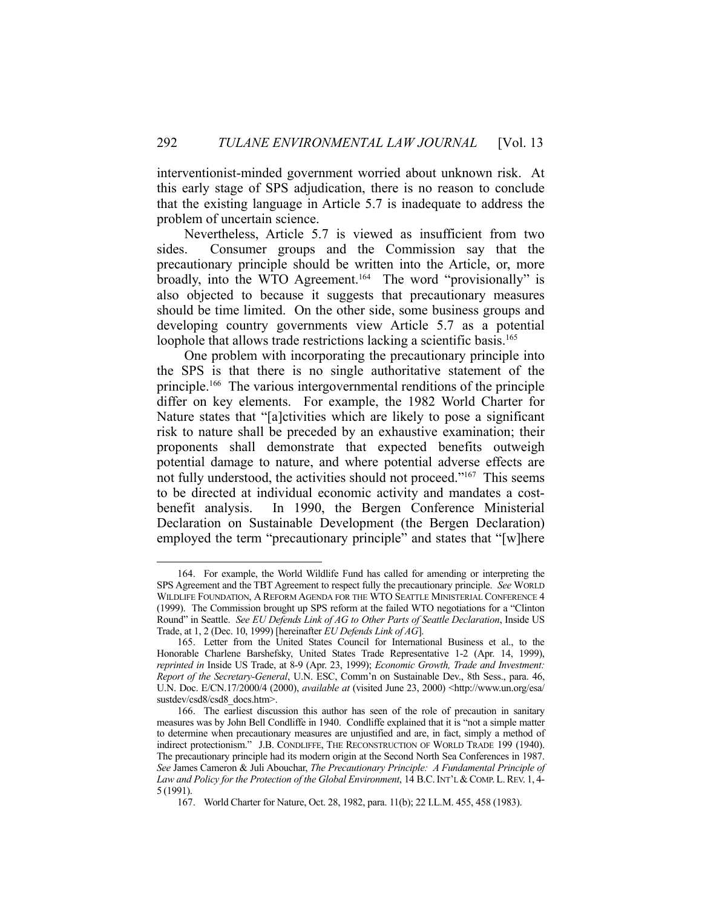interventionist-minded government worried about unknown risk. At this early stage of SPS adjudication, there is no reason to conclude that the existing language in Article 5.7 is inadequate to address the problem of uncertain science.

 Nevertheless, Article 5.7 is viewed as insufficient from two sides. Consumer groups and the Commission say that the precautionary principle should be written into the Article, or, more broadly, into the WTO Agreement.<sup>164</sup> The word "provisionally" is also objected to because it suggests that precautionary measures should be time limited. On the other side, some business groups and developing country governments view Article 5.7 as a potential loophole that allows trade restrictions lacking a scientific basis.<sup>165</sup>

 One problem with incorporating the precautionary principle into the SPS is that there is no single authoritative statement of the principle.166 The various intergovernmental renditions of the principle differ on key elements. For example, the 1982 World Charter for Nature states that "[a]ctivities which are likely to pose a significant risk to nature shall be preceded by an exhaustive examination; their proponents shall demonstrate that expected benefits outweigh potential damage to nature, and where potential adverse effects are not fully understood, the activities should not proceed."167 This seems to be directed at individual economic activity and mandates a costbenefit analysis. In 1990, the Bergen Conference Ministerial Declaration on Sustainable Development (the Bergen Declaration) employed the term "precautionary principle" and states that "[w]here

 <sup>164.</sup> For example, the World Wildlife Fund has called for amending or interpreting the SPS Agreement and the TBT Agreement to respect fully the precautionary principle. *See* WORLD WILDLIFE FOUNDATION, A REFORM AGENDA FOR THE WTO SEATTLE MINISTERIAL CONFERENCE 4 (1999). The Commission brought up SPS reform at the failed WTO negotiations for a "Clinton Round" in Seattle. *See EU Defends Link of AG to Other Parts of Seattle Declaration*, Inside US Trade, at 1, 2 (Dec. 10, 1999) [hereinafter *EU Defends Link of AG*].

 <sup>165.</sup> Letter from the United States Council for International Business et al., to the Honorable Charlene Barshefsky, United States Trade Representative 1-2 (Apr. 14, 1999), *reprinted in* Inside US Trade, at 8-9 (Apr. 23, 1999); *Economic Growth, Trade and Investment: Report of the Secretary-General*, U.N. ESC, Comm'n on Sustainable Dev., 8th Sess., para. 46, U.N. Doc. E/CN.17/2000/4 (2000), *available at* (visited June 23, 2000) <http://www.un.org/esa/ sustdev/csd8/csd8\_docs.htm>.

 <sup>166.</sup> The earliest discussion this author has seen of the role of precaution in sanitary measures was by John Bell Condliffe in 1940. Condliffe explained that it is "not a simple matter to determine when precautionary measures are unjustified and are, in fact, simply a method of indirect protectionism." J.B. CONDLIFFE, THE RECONSTRUCTION OF WORLD TRADE 199 (1940). The precautionary principle had its modern origin at the Second North Sea Conferences in 1987. *See* James Cameron & Juli Abouchar, *The Precautionary Principle: A Fundamental Principle of*  Law and Policy for the Protection of the Global Environment, 14 B.C. INT'L & COMP. L. REV. 1, 4-5 (1991).

 <sup>167.</sup> World Charter for Nature, Oct. 28, 1982, para. 11(b); 22 I.L.M. 455, 458 (1983).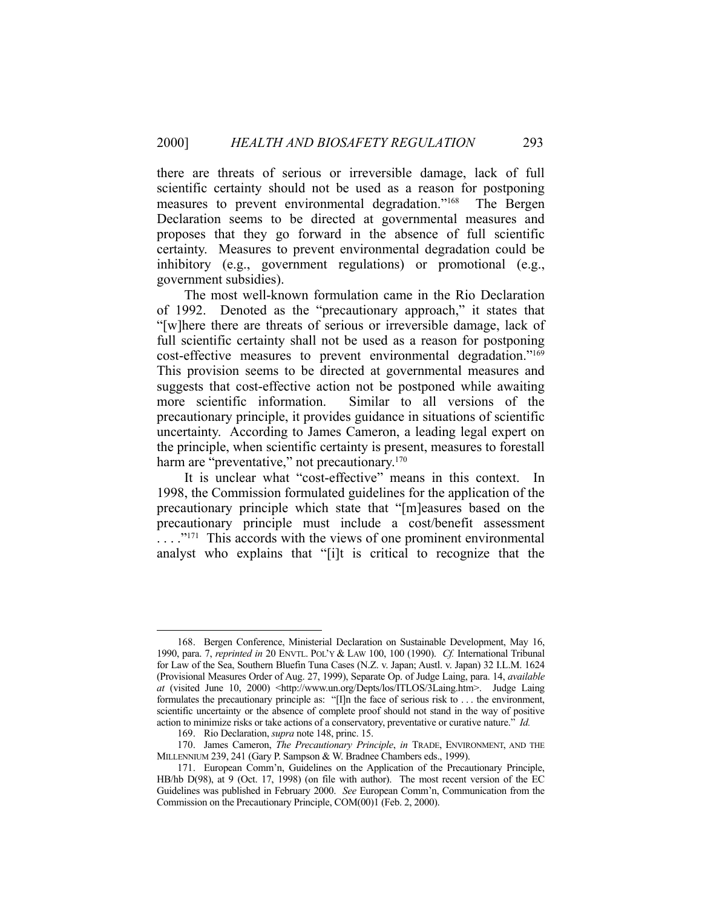there are threats of serious or irreversible damage, lack of full scientific certainty should not be used as a reason for postponing measures to prevent environmental degradation."168 The Bergen Declaration seems to be directed at governmental measures and proposes that they go forward in the absence of full scientific certainty. Measures to prevent environmental degradation could be inhibitory (e.g., government regulations) or promotional (e.g., government subsidies).

 The most well-known formulation came in the Rio Declaration of 1992. Denoted as the "precautionary approach," it states that "[w]here there are threats of serious or irreversible damage, lack of full scientific certainty shall not be used as a reason for postponing cost-effective measures to prevent environmental degradation."169 This provision seems to be directed at governmental measures and suggests that cost-effective action not be postponed while awaiting more scientific information. Similar to all versions of the precautionary principle, it provides guidance in situations of scientific uncertainty. According to James Cameron, a leading legal expert on the principle, when scientific certainty is present, measures to forestall harm are "preventative," not precautionary.<sup>170</sup>

 It is unclear what "cost-effective" means in this context. In 1998, the Commission formulated guidelines for the application of the precautionary principle which state that "[m]easures based on the precautionary principle must include a cost/benefit assessment  $\ldots$ ."<sup>171</sup> This accords with the views of one prominent environmental analyst who explains that "[i]t is critical to recognize that the

 <sup>168.</sup> Bergen Conference, Ministerial Declaration on Sustainable Development, May 16, 1990, para. 7, *reprinted in* 20 ENVTL. POL'Y & LAW 100, 100 (1990). *Cf.* International Tribunal for Law of the Sea, Southern Bluefin Tuna Cases (N.Z. v. Japan; Austl. v. Japan) 32 I.L.M. 1624 (Provisional Measures Order of Aug. 27, 1999), Separate Op. of Judge Laing, para. 14, *available at* (visited June 10, 2000) <http://www.un.org/Depts/los/ITLOS/3Laing.htm>. Judge Laing formulates the precautionary principle as: "[I]n the face of serious risk to . . . the environment, scientific uncertainty or the absence of complete proof should not stand in the way of positive action to minimize risks or take actions of a conservatory, preventative or curative nature." *Id.*

 <sup>169.</sup> Rio Declaration, *supra* note 148, princ. 15.

 <sup>170.</sup> James Cameron, *The Precautionary Principle*, *in* TRADE, ENVIRONMENT, AND THE MILLENNIUM 239, 241 (Gary P. Sampson & W. Bradnee Chambers eds., 1999).

 <sup>171.</sup> European Comm'n, Guidelines on the Application of the Precautionary Principle, HB/hb D(98), at 9 (Oct. 17, 1998) (on file with author). The most recent version of the EC Guidelines was published in February 2000. *See* European Comm'n, Communication from the Commission on the Precautionary Principle, COM(00)1 (Feb. 2, 2000).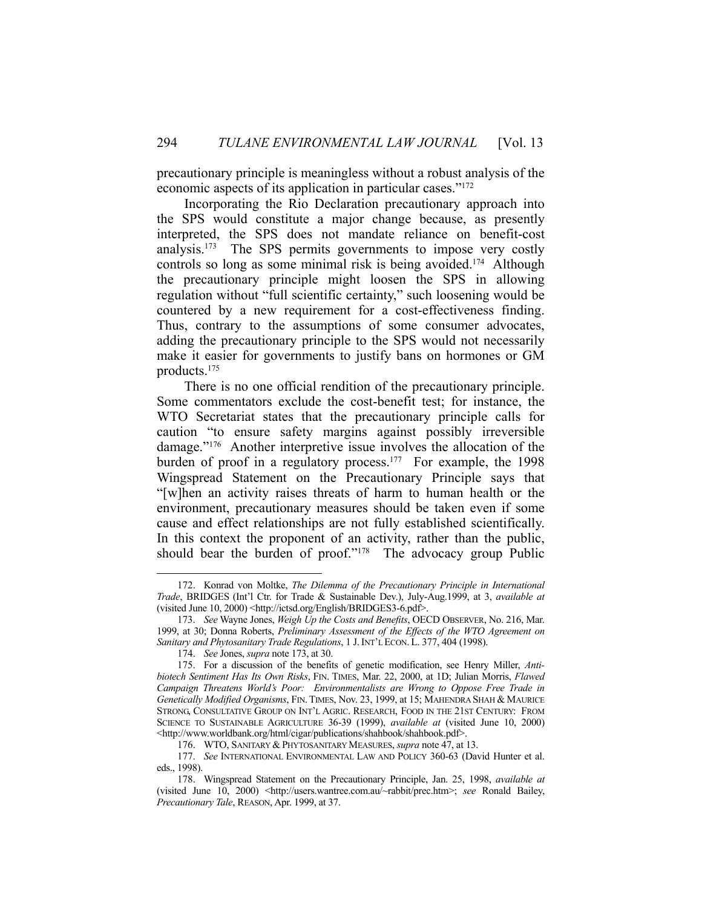precautionary principle is meaningless without a robust analysis of the economic aspects of its application in particular cases."172

 Incorporating the Rio Declaration precautionary approach into the SPS would constitute a major change because, as presently interpreted, the SPS does not mandate reliance on benefit-cost analysis.<sup>173</sup> The SPS permits governments to impose very costly controls so long as some minimal risk is being avoided.<sup>174</sup> Although the precautionary principle might loosen the SPS in allowing regulation without "full scientific certainty," such loosening would be countered by a new requirement for a cost-effectiveness finding. Thus, contrary to the assumptions of some consumer advocates, adding the precautionary principle to the SPS would not necessarily make it easier for governments to justify bans on hormones or GM products.175

 There is no one official rendition of the precautionary principle. Some commentators exclude the cost-benefit test; for instance, the WTO Secretariat states that the precautionary principle calls for caution "to ensure safety margins against possibly irreversible damage."176 Another interpretive issue involves the allocation of the burden of proof in a regulatory process.<sup>177</sup> For example, the 1998 Wingspread Statement on the Precautionary Principle says that "[w]hen an activity raises threats of harm to human health or the environment, precautionary measures should be taken even if some cause and effect relationships are not fully established scientifically. In this context the proponent of an activity, rather than the public, should bear the burden of proof."<sup>178</sup> The advocacy group Public

 <sup>172.</sup> Konrad von Moltke, *The Dilemma of the Precautionary Principle in International Trade*, BRIDGES (Int'l Ctr. for Trade & Sustainable Dev.), July-Aug.1999, at 3, *available at* (visited June 10, 2000) <http://ictsd.org/English/BRIDGES3-6.pdf>.

 <sup>173.</sup> *See* Wayne Jones, *Weigh Up the Costs and Benefits*, OECD OBSERVER, No. 216, Mar. 1999, at 30; Donna Roberts, *Preliminary Assessment of the Effects of the WTO Agreement on Sanitary and Phytosanitary Trade Regulations*, 1 J. INT'L ECON. L. 377, 404 (1998).

 <sup>174.</sup> *See* Jones, *supra* note 173, at 30.

 <sup>175.</sup> For a discussion of the benefits of genetic modification, see Henry Miller, *Antibiotech Sentiment Has Its Own Risks*, FIN. TIMES, Mar. 22, 2000, at 1D; Julian Morris, *Flawed Campaign Threatens World's Poor: Environmentalists are Wrong to Oppose Free Trade in Genetically Modified Organisms*, FIN.TIMES, Nov. 23, 1999, at 15; MAHENDRA SHAH & MAURICE STRONG, CONSULTATIVE GROUP ON INT'L AGRIC. RESEARCH, FOOD IN THE 21ST CENTURY: FROM SCIENCE TO SUSTAINABLE AGRICULTURE 36-39 (1999), *available at* (visited June 10, 2000) <http://www.worldbank.org/html/cigar/publications/shahbook/shahbook.pdf>.

 <sup>176.</sup> WTO, SANITARY & PHYTOSANITARY MEASURES, *supra* note 47, at 13.

 <sup>177.</sup> *See* INTERNATIONAL ENVIRONMENTAL LAW AND POLICY 360-63 (David Hunter et al. eds., 1998).

 <sup>178.</sup> Wingspread Statement on the Precautionary Principle, Jan. 25, 1998, *available at* (visited June 10, 2000) <http://users.wantree.com.au/~rabbit/prec.htm>; *see* Ronald Bailey, *Precautionary Tale*, REASON, Apr. 1999, at 37.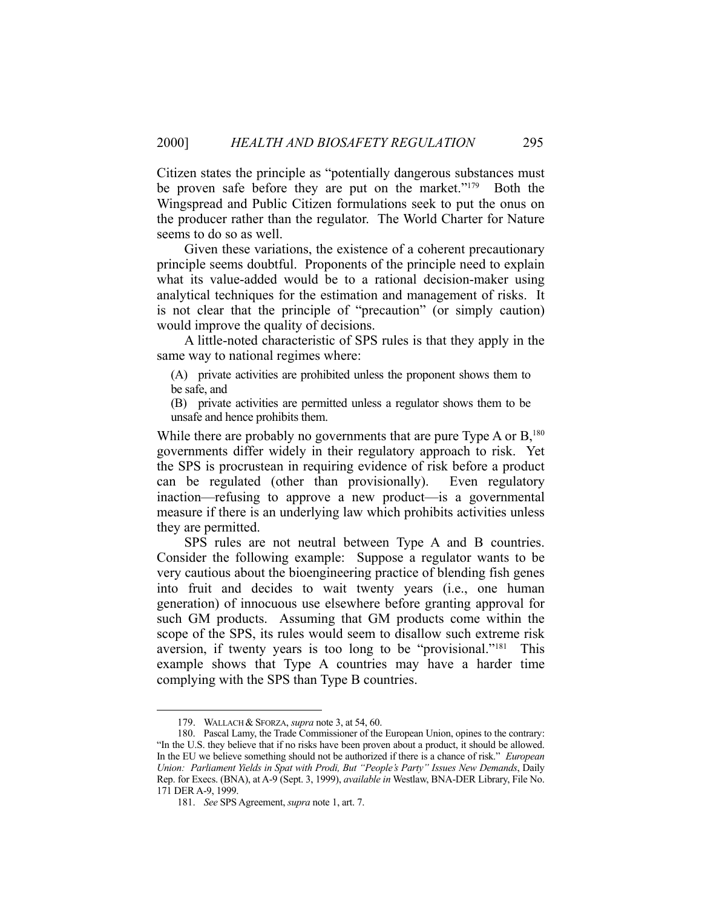Citizen states the principle as "potentially dangerous substances must be proven safe before they are put on the market."<sup>179</sup> Both the Wingspread and Public Citizen formulations seek to put the onus on the producer rather than the regulator. The World Charter for Nature seems to do so as well.

 Given these variations, the existence of a coherent precautionary principle seems doubtful. Proponents of the principle need to explain what its value-added would be to a rational decision-maker using analytical techniques for the estimation and management of risks. It is not clear that the principle of "precaution" (or simply caution) would improve the quality of decisions.

 A little-noted characteristic of SPS rules is that they apply in the same way to national regimes where:

(A) private activities are prohibited unless the proponent shows them to be safe, and

(B) private activities are permitted unless a regulator shows them to be unsafe and hence prohibits them.

While there are probably no governments that are pure Type A or  $B$ <sup>180</sup>, governments differ widely in their regulatory approach to risk. Yet the SPS is procrustean in requiring evidence of risk before a product can be regulated (other than provisionally). Even regulatory inaction—refusing to approve a new product—is a governmental measure if there is an underlying law which prohibits activities unless they are permitted.

 SPS rules are not neutral between Type A and B countries. Consider the following example: Suppose a regulator wants to be very cautious about the bioengineering practice of blending fish genes into fruit and decides to wait twenty years (i.e., one human generation) of innocuous use elsewhere before granting approval for such GM products. Assuming that GM products come within the scope of the SPS, its rules would seem to disallow such extreme risk aversion, if twenty years is too long to be "provisional."181 This example shows that Type A countries may have a harder time complying with the SPS than Type B countries.

 <sup>179.</sup> WALLACH & SFORZA, *supra* note 3, at 54, 60.

 <sup>180.</sup> Pascal Lamy, the Trade Commissioner of the European Union, opines to the contrary: "In the U.S. they believe that if no risks have been proven about a product, it should be allowed. In the EU we believe something should not be authorized if there is a chance of risk." *European Union: Parliament Yields in Spat with Prodi, But "People's Party" Issues New Demands*, Daily Rep. for Execs. (BNA), at A-9 (Sept. 3, 1999), *available in* Westlaw, BNA-DER Library, File No. 171 DER A-9, 1999.

 <sup>181.</sup> *See* SPS Agreement, *supra* note 1, art. 7.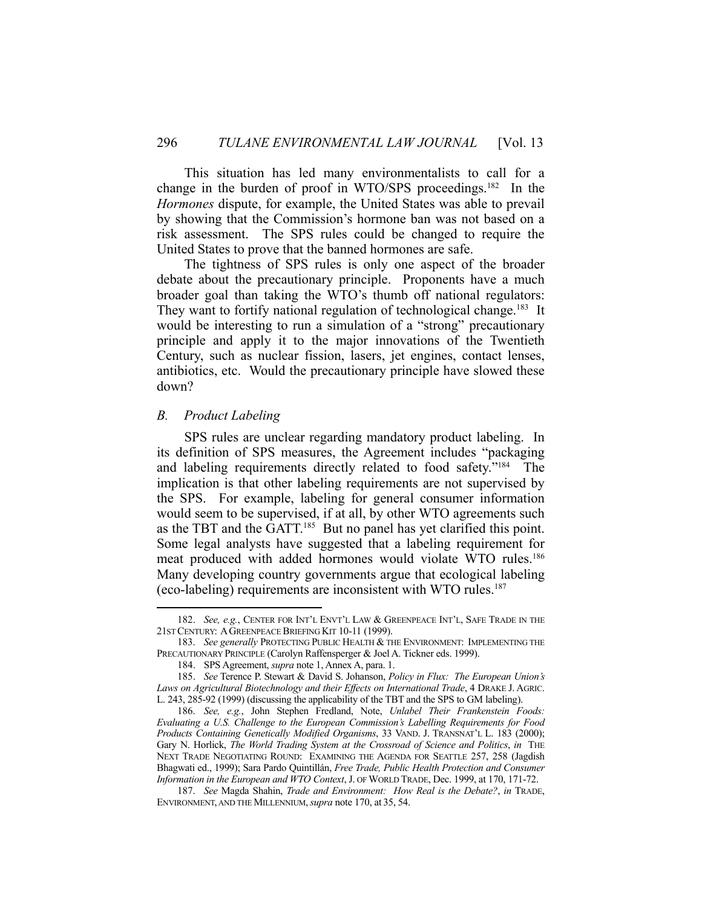This situation has led many environmentalists to call for a change in the burden of proof in WTO/SPS proceedings.182 In the *Hormones* dispute, for example, the United States was able to prevail by showing that the Commission's hormone ban was not based on a risk assessment. The SPS rules could be changed to require the United States to prove that the banned hormones are safe.

 The tightness of SPS rules is only one aspect of the broader debate about the precautionary principle. Proponents have a much broader goal than taking the WTO's thumb off national regulators: They want to fortify national regulation of technological change.<sup>183</sup> It would be interesting to run a simulation of a "strong" precautionary principle and apply it to the major innovations of the Twentieth Century, such as nuclear fission, lasers, jet engines, contact lenses, antibiotics, etc. Would the precautionary principle have slowed these down?

#### *B. Product Labeling*

1

 SPS rules are unclear regarding mandatory product labeling. In its definition of SPS measures, the Agreement includes "packaging and labeling requirements directly related to food safety."184 The implication is that other labeling requirements are not supervised by the SPS. For example, labeling for general consumer information would seem to be supervised, if at all, by other WTO agreements such as the TBT and the GATT.185 But no panel has yet clarified this point. Some legal analysts have suggested that a labeling requirement for meat produced with added hormones would violate WTO rules.186 Many developing country governments argue that ecological labeling (eco-labeling) requirements are inconsistent with WTO rules.187

 <sup>182.</sup> *See, e.g.*, CENTER FOR INT'L ENVT'L LAW & GREENPEACE INT'L, SAFE TRADE IN THE 21ST CENTURY: AGREENPEACE BRIEFING KIT 10-11 (1999).

 <sup>183.</sup> *See generally* PROTECTING PUBLIC HEALTH & THE ENVIRONMENT: IMPLEMENTING THE PRECAUTIONARY PRINCIPLE (Carolyn Raffensperger & Joel A. Tickner eds. 1999).

 <sup>184.</sup> SPS Agreement, *supra* note 1, Annex A, para. 1.

 <sup>185.</sup> *See* Terence P. Stewart & David S. Johanson, *Policy in Flux: The European Union's Laws on Agricultural Biotechnology and their Effects on International Trade*, 4 DRAKE J. AGRIC. L. 243, 285-92 (1999) (discussing the applicability of the TBT and the SPS to GM labeling).

 <sup>186.</sup> *See, e.g.*, John Stephen Fredland, Note, *Unlabel Their Frankenstein Foods: Evaluating a U.S. Challenge to the European Commission's Labelling Requirements for Food Products Containing Genetically Modified Organisms*, 33 VAND. J. TRANSNAT'L L. 183 (2000); Gary N. Horlick, *The World Trading System at the Crossroad of Science and Politics*, *in* THE NEXT TRADE NEGOTIATING ROUND: EXAMINING THE AGENDA FOR SEATTLE 257, 258 (Jagdish Bhagwati ed., 1999); Sara Pardo Quintillán, *Free Trade, Public Health Protection and Consumer Information in the European and WTO Context*, J. OF WORLD TRADE, Dec. 1999, at 170, 171-72.

 <sup>187.</sup> *See* Magda Shahin, *Trade and Environment: How Real is the Debate?*, *in* TRADE, ENVIRONMENT, AND THE MILLENNIUM,*supra* note 170, at 35, 54.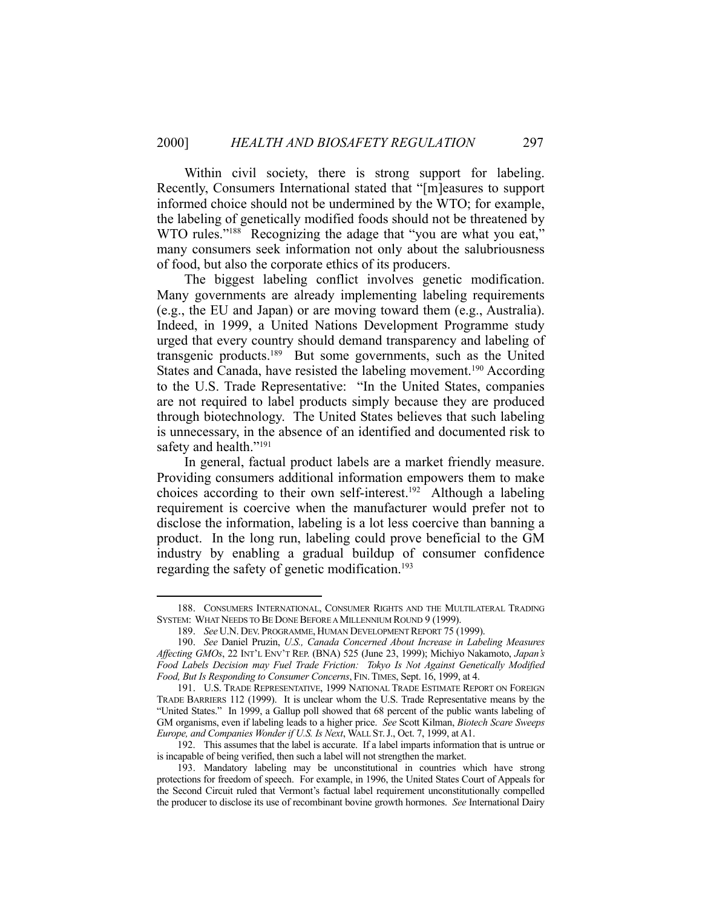Within civil society, there is strong support for labeling. Recently, Consumers International stated that "[m]easures to support informed choice should not be undermined by the WTO; for example, the labeling of genetically modified foods should not be threatened by WTO rules."<sup>188</sup> Recognizing the adage that "you are what you eat," many consumers seek information not only about the salubriousness of food, but also the corporate ethics of its producers.

 The biggest labeling conflict involves genetic modification. Many governments are already implementing labeling requirements (e.g., the EU and Japan) or are moving toward them (e.g., Australia). Indeed, in 1999, a United Nations Development Programme study urged that every country should demand transparency and labeling of transgenic products.189 But some governments, such as the United States and Canada, have resisted the labeling movement.<sup>190</sup> According to the U.S. Trade Representative: "In the United States, companies are not required to label products simply because they are produced through biotechnology. The United States believes that such labeling is unnecessary, in the absence of an identified and documented risk to safety and health."<sup>191</sup>

 In general, factual product labels are a market friendly measure. Providing consumers additional information empowers them to make choices according to their own self-interest.<sup>192</sup> Although a labeling requirement is coercive when the manufacturer would prefer not to disclose the information, labeling is a lot less coercive than banning a product. In the long run, labeling could prove beneficial to the GM industry by enabling a gradual buildup of consumer confidence regarding the safety of genetic modification.<sup>193</sup>

 <sup>188.</sup> CONSUMERS INTERNATIONAL, CONSUMER RIGHTS AND THE MULTILATERAL TRADING SYSTEM: WHAT NEEDS TO BE DONE BEFORE A MILLENNIUM ROUND 9 (1999).

 <sup>189.</sup> *See* U.N. DEV. PROGRAMME, HUMAN DEVELOPMENT REPORT 75 (1999).

 <sup>190.</sup> *See* Daniel Pruzin, *U.S., Canada Concerned About Increase in Labeling Measures Affecting GMOs*, 22 INT'L ENV'T REP. (BNA) 525 (June 23, 1999); Michiyo Nakamoto, *Japan's Food Labels Decision may Fuel Trade Friction: Tokyo Is Not Against Genetically Modified Food, But Is Responding to Consumer Concerns*, FIN.TIMES, Sept. 16, 1999, at 4.

 <sup>191.</sup> U.S. TRADE REPRESENTATIVE, 1999 NATIONAL TRADE ESTIMATE REPORT ON FOREIGN TRADE BARRIERS 112 (1999). It is unclear whom the U.S. Trade Representative means by the "United States." In 1999, a Gallup poll showed that 68 percent of the public wants labeling of GM organisms, even if labeling leads to a higher price. *See* Scott Kilman, *Biotech Scare Sweeps Europe, and Companies Wonder if U.S. Is Next*, WALL ST.J., Oct. 7, 1999, at A1.

 <sup>192.</sup> This assumes that the label is accurate. If a label imparts information that is untrue or is incapable of being verified, then such a label will not strengthen the market.

 <sup>193.</sup> Mandatory labeling may be unconstitutional in countries which have strong protections for freedom of speech. For example, in 1996, the United States Court of Appeals for the Second Circuit ruled that Vermont's factual label requirement unconstitutionally compelled the producer to disclose its use of recombinant bovine growth hormones. *See* International Dairy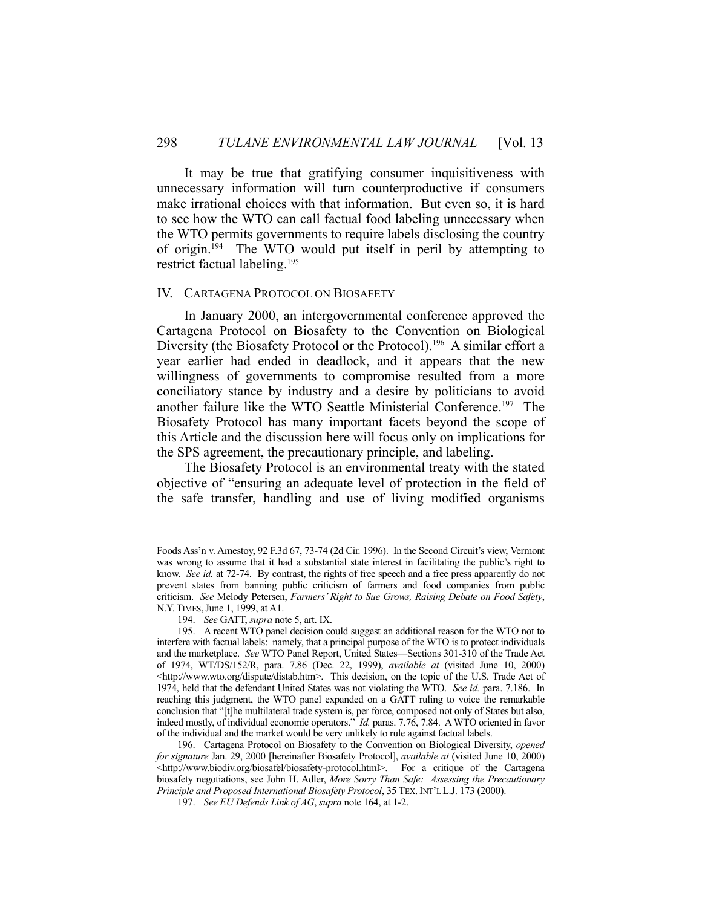It may be true that gratifying consumer inquisitiveness with unnecessary information will turn counterproductive if consumers make irrational choices with that information. But even so, it is hard to see how the WTO can call factual food labeling unnecessary when the WTO permits governments to require labels disclosing the country of origin.194 The WTO would put itself in peril by attempting to restrict factual labeling.195

#### IV. CARTAGENA PROTOCOL ON BIOSAFETY

 In January 2000, an intergovernmental conference approved the Cartagena Protocol on Biosafety to the Convention on Biological Diversity (the Biosafety Protocol or the Protocol).<sup>196</sup> A similar effort a year earlier had ended in deadlock, and it appears that the new willingness of governments to compromise resulted from a more conciliatory stance by industry and a desire by politicians to avoid another failure like the WTO Seattle Ministerial Conference.197 The Biosafety Protocol has many important facets beyond the scope of this Article and the discussion here will focus only on implications for the SPS agreement, the precautionary principle, and labeling.

 The Biosafety Protocol is an environmental treaty with the stated objective of "ensuring an adequate level of protection in the field of the safe transfer, handling and use of living modified organisms

Foods Ass'n v. Amestoy, 92 F.3d 67, 73-74 (2d Cir. 1996). In the Second Circuit's view, Vermont was wrong to assume that it had a substantial state interest in facilitating the public's right to know. *See id.* at 72-74. By contrast, the rights of free speech and a free press apparently do not prevent states from banning public criticism of farmers and food companies from public criticism. *See* Melody Petersen, *Farmers' Right to Sue Grows, Raising Debate on Food Safety*, N.Y.TIMES,June 1, 1999, at A1.

 <sup>194.</sup> *See* GATT, *supra* note 5, art. IX.

 <sup>195.</sup> A recent WTO panel decision could suggest an additional reason for the WTO not to interfere with factual labels: namely, that a principal purpose of the WTO is to protect individuals and the marketplace. *See* WTO Panel Report, United States—Sections 301-310 of the Trade Act of 1974, WT/DS/152/R, para. 7.86 (Dec. 22, 1999), *available at* (visited June 10, 2000) <http://www.wto.org/dispute/distab.htm>. This decision, on the topic of the U.S. Trade Act of 1974, held that the defendant United States was not violating the WTO. *See id.* para. 7.186. In reaching this judgment, the WTO panel expanded on a GATT ruling to voice the remarkable conclusion that "[t]he multilateral trade system is, per force, composed not only of States but also, indeed mostly, of individual economic operators." *Id.* paras. 7.76, 7.84. A WTO oriented in favor of the individual and the market would be very unlikely to rule against factual labels.

 <sup>196.</sup> Cartagena Protocol on Biosafety to the Convention on Biological Diversity, *opened for signature* Jan. 29, 2000 [hereinafter Biosafety Protocol], *available at* (visited June 10, 2000) <http://www.biodiv.org/biosafel/biosafety-protocol.html>. For a critique of the Cartagena biosafety negotiations, see John H. Adler, *More Sorry Than Safe: Assessing the Precautionary Principle and Proposed International Biosafety Protocol*, 35 TEX.INT'L L.J. 173 (2000).

 <sup>197.</sup> *See EU Defends Link of AG*, *supra* note 164, at 1-2.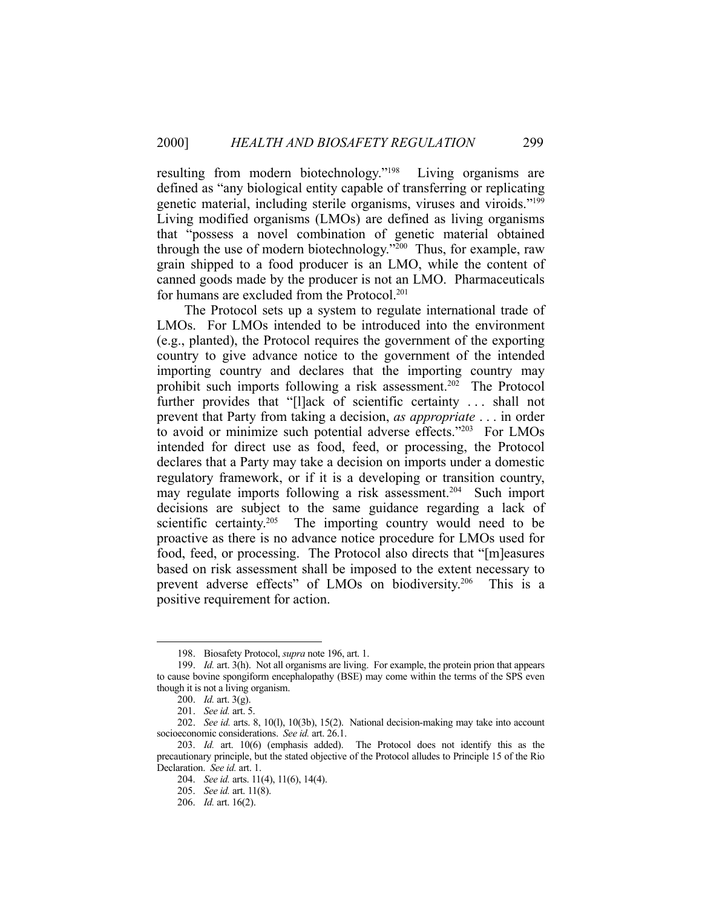resulting from modern biotechnology."198 Living organisms are defined as "any biological entity capable of transferring or replicating genetic material, including sterile organisms, viruses and viroids."199 Living modified organisms (LMOs) are defined as living organisms that "possess a novel combination of genetic material obtained through the use of modern biotechnology."200 Thus, for example, raw grain shipped to a food producer is an LMO, while the content of canned goods made by the producer is not an LMO. Pharmaceuticals for humans are excluded from the Protocol.<sup>201</sup>

 The Protocol sets up a system to regulate international trade of LMOs. For LMOs intended to be introduced into the environment (e.g., planted), the Protocol requires the government of the exporting country to give advance notice to the government of the intended importing country and declares that the importing country may prohibit such imports following a risk assessment.<sup>202</sup> The Protocol further provides that "[l]ack of scientific certainty . . . shall not prevent that Party from taking a decision, *as appropriate* . . . in order to avoid or minimize such potential adverse effects."203 For LMOs intended for direct use as food, feed, or processing, the Protocol declares that a Party may take a decision on imports under a domestic regulatory framework, or if it is a developing or transition country, may regulate imports following a risk assessment.<sup>204</sup> Such import decisions are subject to the same guidance regarding a lack of scientific certainty.<sup>205</sup> The importing country would need to be proactive as there is no advance notice procedure for LMOs used for food, feed, or processing. The Protocol also directs that "[m]easures based on risk assessment shall be imposed to the extent necessary to prevent adverse effects" of LMOs on biodiversity.<sup>206</sup> This is a positive requirement for action.

 <sup>198.</sup> Biosafety Protocol, *supra* note 196, art. 1.

 <sup>199.</sup> *Id.* art. 3(h). Not all organisms are living. For example, the protein prion that appears to cause bovine spongiform encephalopathy (BSE) may come within the terms of the SPS even though it is not a living organism.

 $200.$  *Id.* art. 3(g).

 <sup>201.</sup> *See id.* art. 5.

 <sup>202.</sup> *See id.* arts. 8, 10(l), 10(3b), 15(2). National decision-making may take into account socioeconomic considerations. *See id.* art. 26.1.

 <sup>203.</sup> *Id.* art. 10(6) (emphasis added). The Protocol does not identify this as the precautionary principle, but the stated objective of the Protocol alludes to Principle 15 of the Rio Declaration. *See id.* art. 1.

 <sup>204.</sup> *See id.* arts. 11(4), 11(6), 14(4).

 <sup>205.</sup> *See id.* art. 11(8).

 <sup>206.</sup> *Id.* art. 16(2).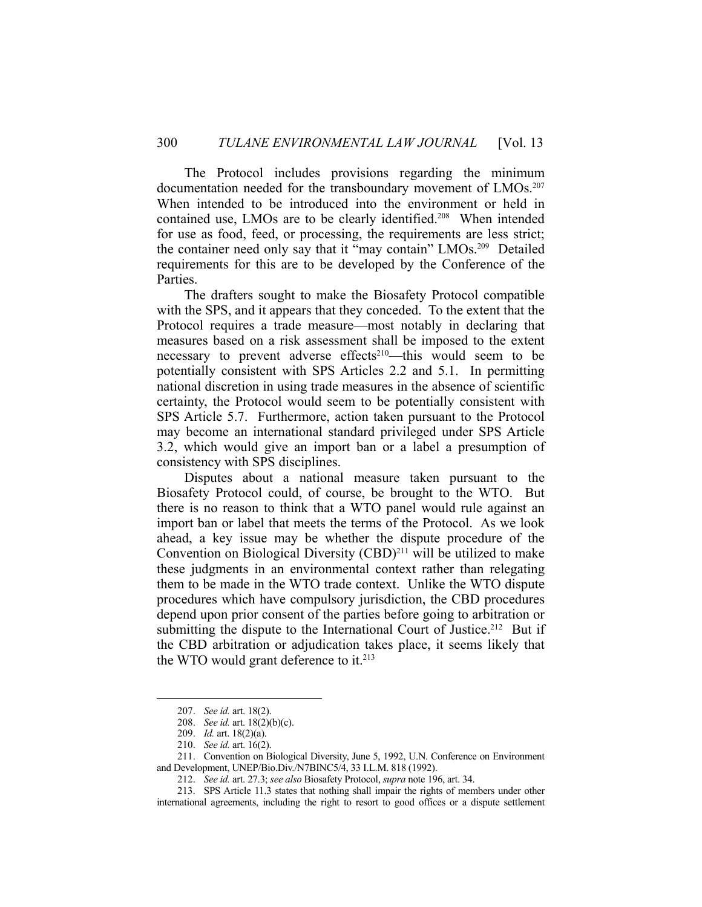The Protocol includes provisions regarding the minimum documentation needed for the transboundary movement of LMOs.<sup>207</sup> When intended to be introduced into the environment or held in contained use, LMOs are to be clearly identified.<sup>208</sup> When intended for use as food, feed, or processing, the requirements are less strict; the container need only say that it "may contain" LMOs.209 Detailed requirements for this are to be developed by the Conference of the Parties.

 The drafters sought to make the Biosafety Protocol compatible with the SPS, and it appears that they conceded. To the extent that the Protocol requires a trade measure—most notably in declaring that measures based on a risk assessment shall be imposed to the extent necessary to prevent adverse effects<sup>210</sup>—this would seem to be potentially consistent with SPS Articles 2.2 and 5.1. In permitting national discretion in using trade measures in the absence of scientific certainty, the Protocol would seem to be potentially consistent with SPS Article 5.7. Furthermore, action taken pursuant to the Protocol may become an international standard privileged under SPS Article 3.2, which would give an import ban or a label a presumption of consistency with SPS disciplines.

 Disputes about a national measure taken pursuant to the Biosafety Protocol could, of course, be brought to the WTO. But there is no reason to think that a WTO panel would rule against an import ban or label that meets the terms of the Protocol. As we look ahead, a key issue may be whether the dispute procedure of the Convention on Biological Diversity  $(CBD)^{211}$  will be utilized to make these judgments in an environmental context rather than relegating them to be made in the WTO trade context. Unlike the WTO dispute procedures which have compulsory jurisdiction, the CBD procedures depend upon prior consent of the parties before going to arbitration or submitting the dispute to the International Court of Justice.<sup>212</sup> But if the CBD arbitration or adjudication takes place, it seems likely that the WTO would grant deference to it. $213$ 

 <sup>207.</sup> *See id.* art. 18(2).

 <sup>208.</sup> *See id.* art. 18(2)(b)(c).

 <sup>209.</sup> *Id.* art. 18(2)(a).

 <sup>210.</sup> *See id.* art. 16(2).

 <sup>211.</sup> Convention on Biological Diversity, June 5, 1992, U.N. Conference on Environment and Development, UNEP/Bio.Div./N7BINC5/4, 33 I.L.M. 818 (1992).

 <sup>212.</sup> *See id.* art. 27.3; *see also* Biosafety Protocol, *supra* note 196, art. 34.

 <sup>213.</sup> SPS Article 11.3 states that nothing shall impair the rights of members under other international agreements, including the right to resort to good offices or a dispute settlement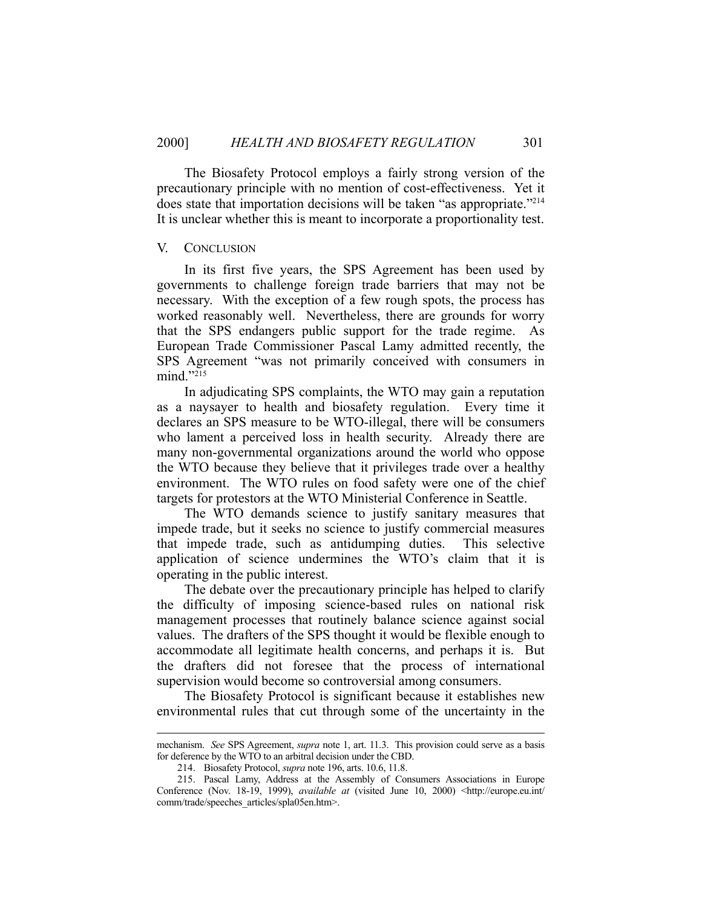The Biosafety Protocol employs a fairly strong version of the precautionary principle with no mention of cost-effectiveness. Yet it does state that importation decisions will be taken "as appropriate."214 It is unclear whether this is meant to incorporate a proportionality test.

#### V. CONCLUSION

 In its first five years, the SPS Agreement has been used by governments to challenge foreign trade barriers that may not be necessary. With the exception of a few rough spots, the process has worked reasonably well. Nevertheless, there are grounds for worry that the SPS endangers public support for the trade regime. As European Trade Commissioner Pascal Lamy admitted recently, the SPS Agreement "was not primarily conceived with consumers in mind."215

 In adjudicating SPS complaints, the WTO may gain a reputation as a naysayer to health and biosafety regulation. Every time it declares an SPS measure to be WTO-illegal, there will be consumers who lament a perceived loss in health security. Already there are many non-governmental organizations around the world who oppose the WTO because they believe that it privileges trade over a healthy environment. The WTO rules on food safety were one of the chief targets for protestors at the WTO Ministerial Conference in Seattle.

 The WTO demands science to justify sanitary measures that impede trade, but it seeks no science to justify commercial measures that impede trade, such as antidumping duties. This selective application of science undermines the WTO's claim that it is operating in the public interest.

 The debate over the precautionary principle has helped to clarify the difficulty of imposing science-based rules on national risk management processes that routinely balance science against social values. The drafters of the SPS thought it would be flexible enough to accommodate all legitimate health concerns, and perhaps it is. But the drafters did not foresee that the process of international supervision would become so controversial among consumers.

 The Biosafety Protocol is significant because it establishes new environmental rules that cut through some of the uncertainty in the

mechanism. *See* SPS Agreement, *supra* note 1, art. 11.3. This provision could serve as a basis for deference by the WTO to an arbitral decision under the CBD.

 <sup>214.</sup> Biosafety Protocol, *supra* note 196, arts. 10.6, 11.8.

 <sup>215.</sup> Pascal Lamy, Address at the Assembly of Consumers Associations in Europe Conference (Nov. 18-19, 1999), *available at* (visited June 10, 2000) <http://europe.eu.int/ comm/trade/speeches\_articles/spla05en.htm>.